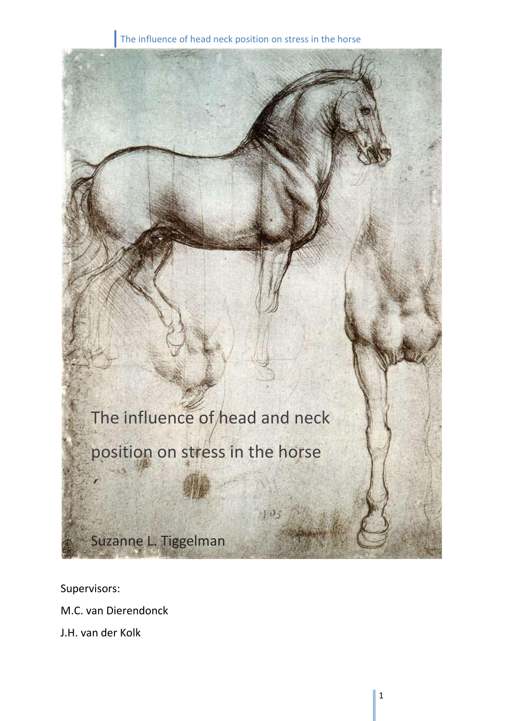

Supervisors:

M.C. van Dierendonck

J.H. van der Kolk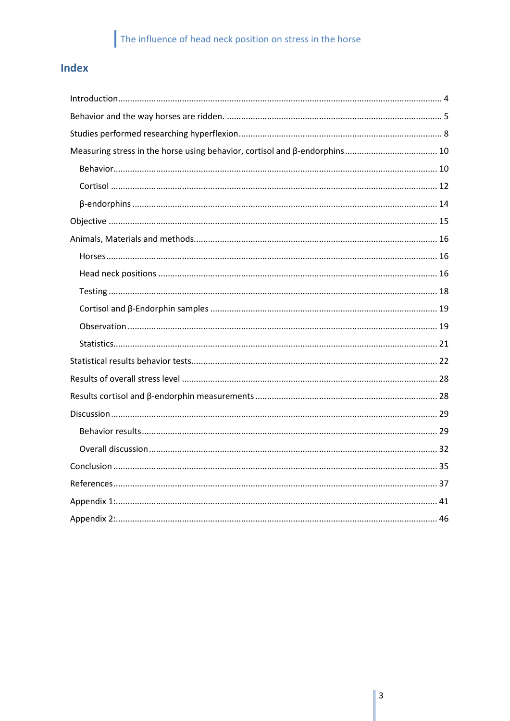## Index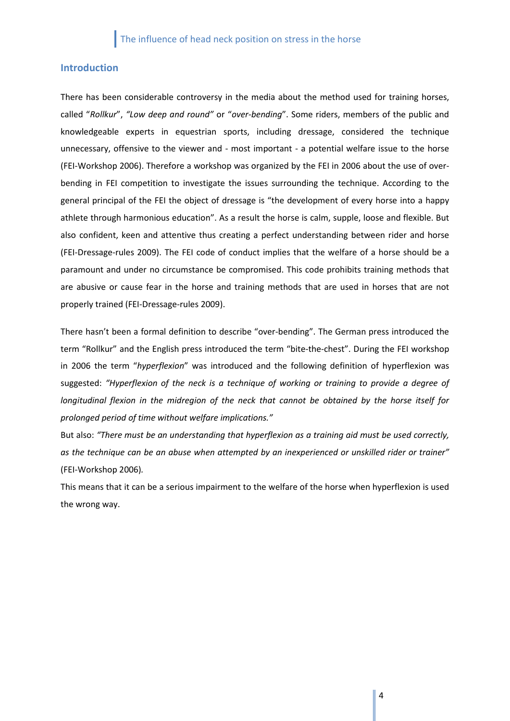## <span id="page-3-0"></span>**Introduction**

There has been considerable controversy in the media about the method used for training horses, called "*Rollkur*", *"Low deep and round"* or "*over-bending*". Some riders, members of the public and knowledgeable experts in equestrian sports, including dressage, considered the technique unnecessary, offensive to the viewer and - most important - a potential welfare issue to the horse (FEI-Workshop 2006). Therefore a workshop was organized by the FEI in 2006 about the use of overbending in FEI competition to investigate the issues surrounding the technique. According to the general principal of the FEI the object of dressage is "the development of every horse into a happy athlete through harmonious education". As a result the horse is calm, supple, loose and flexible. But also confident, keen and attentive thus creating a perfect understanding between rider and horse (FEI-Dressage-rules 2009). The FEI code of conduct implies that the welfare of a horse should be a paramount and under no circumstance be compromised. This code prohibits training methods that are abusive or cause fear in the horse and training methods that are used in horses that are not properly trained (FEI-Dressage-rules 2009).

There hasn't been a formal definition to describe "over-bending". The German press introduced the term "Rollkur" and the English press introduced the term "bite-the-chest". During the FEI workshop in 2006 the term "*hyperflexion*" was introduced and the following definition of hyperflexion was suggested: *"Hyperflexion of the neck is a technique of working or training to provide a degree of longitudinal flexion in the midregion of the neck that cannot be obtained by the horse itself for prolonged period of time without welfare implications."*

But also: *"There must be an understanding that hyperflexion as a training aid must be used correctly, as the technique can be an abuse when attempted by an inexperienced or unskilled rider or trainer"* (FEI-Workshop 2006)*.*

This means that it can be a serious impairment to the welfare of the horse when hyperflexion is used the wrong way.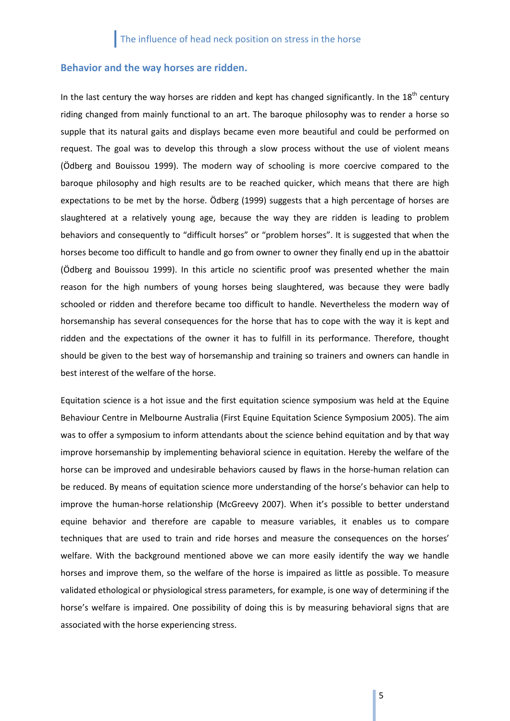## <span id="page-4-0"></span>**Behavior and the way horses are ridden.**

In the last century the way horses are ridden and kept has changed significantly. In the  $18<sup>th</sup>$  century riding changed from mainly functional to an art. The baroque philosophy was to render a horse so supple that its natural gaits and displays became even more beautiful and could be performed on request. The goal was to develop this through a slow process without the use of violent means (Ödberg and Bouissou 1999). The modern way of schooling is more coercive compared to the baroque philosophy and high results are to be reached quicker, which means that there are high expectations to be met by the horse. Ödberg (1999) suggests that a high percentage of horses are slaughtered at a relatively young age, because the way they are ridden is leading to problem behaviors and consequently to "difficult horses" or "problem horses". It is suggested that when the horses become too difficult to handle and go from owner to owner they finally end up in the abattoir (Ödberg and Bouissou 1999). In this article no scientific proof was presented whether the main reason for the high numbers of young horses being slaughtered, was because they were badly schooled or ridden and therefore became too difficult to handle. Nevertheless the modern way of horsemanship has several consequences for the horse that has to cope with the way it is kept and ridden and the expectations of the owner it has to fulfill in its performance. Therefore, thought should be given to the best way of horsemanship and training so trainers and owners can handle in best interest of the welfare of the horse.

Equitation science is a hot issue and the first equitation science symposium was held at the Equine Behaviour Centre in Melbourne Australia (First Equine Equitation Science Symposium 2005). The aim was to offer a symposium to inform attendants about the science behind equitation and by that way improve horsemanship by implementing behavioral science in equitation. Hereby the welfare of the horse can be improved and undesirable behaviors caused by flaws in the horse-human relation can be reduced. By means of equitation science more understanding of the horse's behavior can help to improve the human-horse relationship (McGreevy 2007). When it's possible to better understand equine behavior and therefore are capable to measure variables, it enables us to compare techniques that are used to train and ride horses and measure the consequences on the horses' welfare. With the background mentioned above we can more easily identify the way we handle horses and improve them, so the welfare of the horse is impaired as little as possible. To measure validated ethological or physiological stress parameters, for example, is one way of determining if the horse's welfare is impaired. One possibility of doing this is by measuring behavioral signs that are associated with the horse experiencing stress.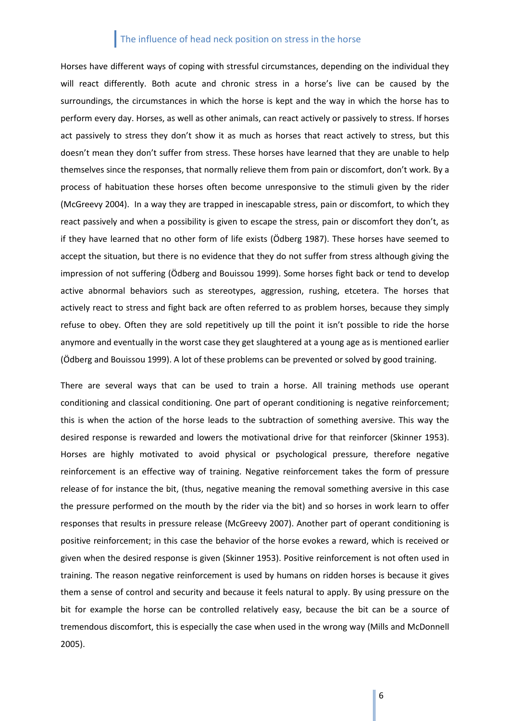Horses have different ways of coping with stressful circumstances, depending on the individual they will react differently. Both acute and chronic stress in a horse's live can be caused by the surroundings, the circumstances in which the horse is kept and the way in which the horse has to perform every day. Horses, as well as other animals, can react actively or passively to stress. If horses act passively to stress they don't show it as much as horses that react actively to stress, but this doesn't mean they don't suffer from stress. These horses have learned that they are unable to help themselves since the responses, that normally relieve them from pain or discomfort, don't work. By a process of habituation these horses often become unresponsive to the stimuli given by the rider (McGreevy 2004). In a way they are trapped in inescapable stress, pain or discomfort, to which they react passively and when a possibility is given to escape the stress, pain or discomfort they don't, as if they have learned that no other form of life exists (Ödberg 1987). These horses have seemed to accept the situation, but there is no evidence that they do not suffer from stress although giving the impression of not suffering (Ödberg and Bouissou 1999). Some horses fight back or tend to develop active abnormal behaviors such as stereotypes, aggression, rushing, etcetera. The horses that actively react to stress and fight back are often referred to as problem horses, because they simply refuse to obey. Often they are sold repetitively up till the point it isn't possible to ride the horse anymore and eventually in the worst case they get slaughtered at a young age as is mentioned earlier (Ödberg and Bouissou 1999). A lot of these problems can be prevented or solved by good training.

There are several ways that can be used to train a horse. All training methods use operant conditioning and classical conditioning. One part of operant conditioning is negative reinforcement; this is when the action of the horse leads to the subtraction of something aversive. This way the desired response is rewarded and lowers the motivational drive for that reinforcer (Skinner 1953). Horses are highly motivated to avoid physical or psychological pressure, therefore negative reinforcement is an effective way of training. Negative reinforcement takes the form of pressure release of for instance the bit, (thus, negative meaning the removal something aversive in this case the pressure performed on the mouth by the rider via the bit) and so horses in work learn to offer responses that results in pressure release (McGreevy 2007). Another part of operant conditioning is positive reinforcement; in this case the behavior of the horse evokes a reward, which is received or given when the desired response is given (Skinner 1953). Positive reinforcement is not often used in training. The reason negative reinforcement is used by humans on ridden horses is because it gives them a sense of control and security and because it feels natural to apply. By using pressure on the bit for example the horse can be controlled relatively easy, because the bit can be a source of tremendous discomfort, this is especially the case when used in the wrong way (Mills and McDonnell 2005).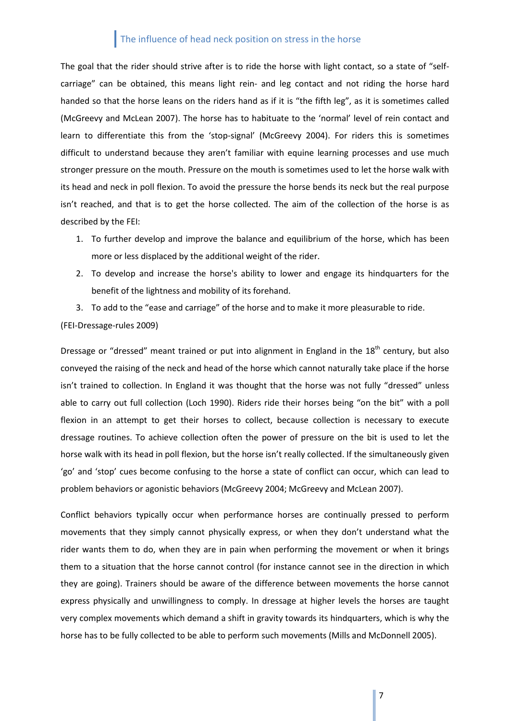The goal that the rider should strive after is to ride the horse with light contact, so a state of "selfcarriage" can be obtained, this means light rein- and leg contact and not riding the horse hard handed so that the horse leans on the riders hand as if it is "the fifth leg", as it is sometimes called (McGreevy and McLean 2007). The horse has to habituate to the 'normal' level of rein contact and learn to differentiate this from the 'stop-signal' (McGreevy 2004). For riders this is sometimes difficult to understand because they aren't familiar with equine learning processes and use much stronger pressure on the mouth. Pressure on the mouth is sometimes used to let the horse walk with its head and neck in poll flexion. To avoid the pressure the horse bends its neck but the real purpose isn't reached, and that is to get the horse collected. The aim of the collection of the horse is as described by the FEI:

- 1. To further develop and improve the balance and equilibrium of the horse, which has been more or less displaced by the additional weight of the rider.
- 2. To develop and increase the horse's ability to lower and engage its hindquarters for the benefit of the lightness and mobility of its forehand.
- 3. To add to the "ease and carriage" of the horse and to make it more pleasurable to ride.

### (FEI-Dressage-rules 2009)

Dressage or "dressed" meant trained or put into alignment in England in the 18<sup>th</sup> century, but also conveyed the raising of the neck and head of the horse which cannot naturally take place if the horse isn't trained to collection. In England it was thought that the horse was not fully "dressed" unless able to carry out full collection (Loch 1990). Riders ride their horses being "on the bit" with a poll flexion in an attempt to get their horses to collect, because collection is necessary to execute dressage routines. To achieve collection often the power of pressure on the bit is used to let the horse walk with its head in poll flexion, but the horse isn't really collected. If the simultaneously given 'go' and 'stop' cues become confusing to the horse a state of conflict can occur, which can lead to problem behaviors or agonistic behaviors (McGreevy 2004; McGreevy and McLean 2007).

Conflict behaviors typically occur when performance horses are continually pressed to perform movements that they simply cannot physically express, or when they don't understand what the rider wants them to do, when they are in pain when performing the movement or when it brings them to a situation that the horse cannot control (for instance cannot see in the direction in which they are going). Trainers should be aware of the difference between movements the horse cannot express physically and unwillingness to comply. In dressage at higher levels the horses are taught very complex movements which demand a shift in gravity towards its hindquarters, which is why the horse has to be fully collected to be able to perform such movements (Mills and McDonnell 2005).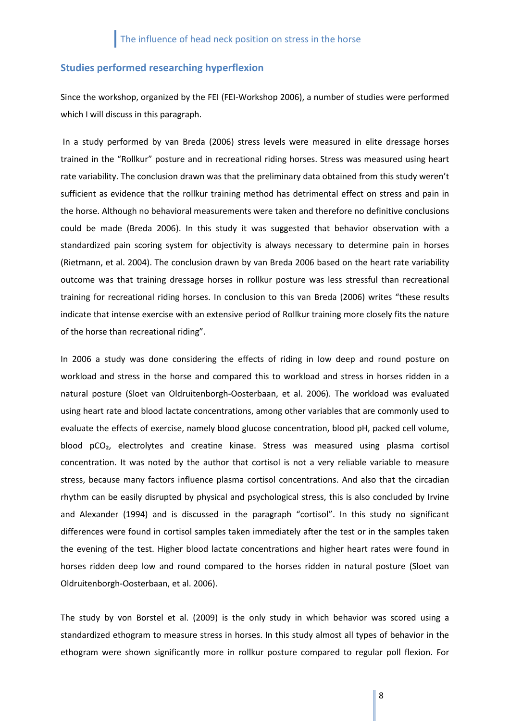## <span id="page-7-0"></span>**Studies performed researching hyperflexion**

Since the workshop, organized by the FEI (FEI-Workshop 2006), a number of studies were performed which I will discuss in this paragraph.

In a study performed by van Breda (2006) stress levels were measured in elite dressage horses trained in the "Rollkur" posture and in recreational riding horses. Stress was measured using heart rate variability. The conclusion drawn was that the preliminary data obtained from this study weren't sufficient as evidence that the rollkur training method has detrimental effect on stress and pain in the horse. Although no behavioral measurements were taken and therefore no definitive conclusions could be made (Breda 2006). In this study it was suggested that behavior observation with a standardized pain scoring system for objectivity is always necessary to determine pain in horses (Rietmann, et al. 2004). The conclusion drawn by van Breda 2006 based on the heart rate variability outcome was that training dressage horses in rollkur posture was less stressful than recreational training for recreational riding horses. In conclusion to this van Breda (2006) writes "these results indicate that intense exercise with an extensive period of Rollkur training more closely fits the nature of the horse than recreational riding".

In 2006 a study was done considering the effects of riding in low deep and round posture on workload and stress in the horse and compared this to workload and stress in horses ridden in a natural posture (Sloet van Oldruitenborgh-Oosterbaan, et al. 2006). The workload was evaluated using heart rate and blood lactate concentrations, among other variables that are commonly used to evaluate the effects of exercise, namely blood glucose concentration, blood pH, packed cell volume, blood pCO<sub>2</sub>, electrolytes and creatine kinase. Stress was measured using plasma cortisol concentration. It was noted by the author that cortisol is not a very reliable variable to measure stress, because many factors influence plasma cortisol concentrations. And also that the circadian rhythm can be easily disrupted by physical and psychological stress, this is also concluded by Irvine and Alexander (1994) and is discussed in the paragraph "cortisol". In this study no significant differences were found in cortisol samples taken immediately after the test or in the samples taken the evening of the test. Higher blood lactate concentrations and higher heart rates were found in horses ridden deep low and round compared to the horses ridden in natural posture (Sloet van Oldruitenborgh-Oosterbaan, et al. 2006).

The study by von Borstel et al. (2009) is the only study in which behavior was scored using a standardized ethogram to measure stress in horses. In this study almost all types of behavior in the ethogram were shown significantly more in rollkur posture compared to regular poll flexion. For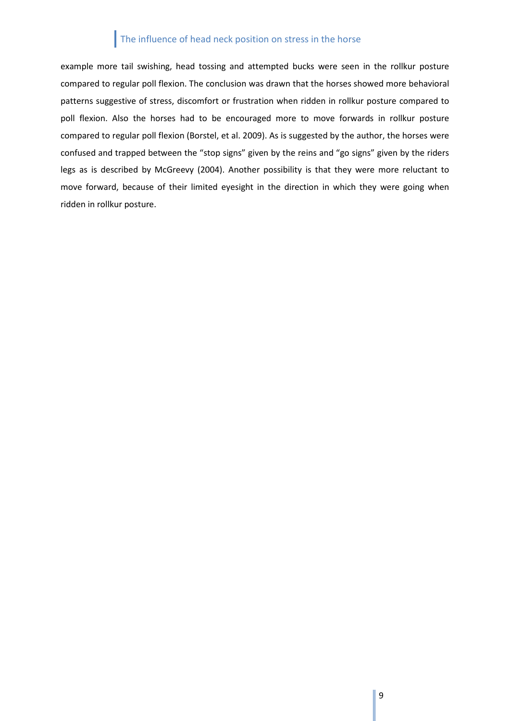example more tail swishing, head tossing and attempted bucks were seen in the rollkur posture compared to regular poll flexion. The conclusion was drawn that the horses showed more behavioral patterns suggestive of stress, discomfort or frustration when ridden in rollkur posture compared to poll flexion. Also the horses had to be encouraged more to move forwards in rollkur posture compared to regular poll flexion (Borstel, et al. 2009). As is suggested by the author, the horses were confused and trapped between the "stop signs" given by the reins and "go signs" given by the riders legs as is described by McGreevy (2004). Another possibility is that they were more reluctant to move forward, because of their limited eyesight in the direction in which they were going when ridden in rollkur posture.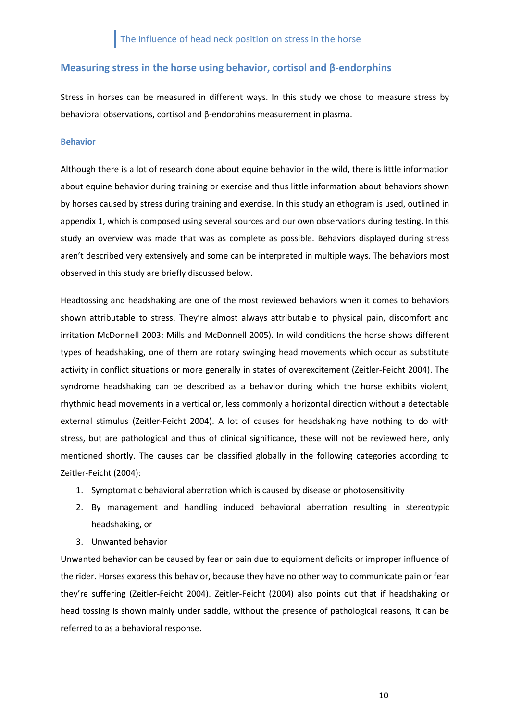## <span id="page-9-0"></span>**Measuring stress in the horse using behavior, cortisol and β-endorphins**

Stress in horses can be measured in different ways. In this study we chose to measure stress by behavioral observations, cortisol and β-endorphins measurement in plasma.

#### <span id="page-9-1"></span>**Behavior**

Although there is a lot of research done about equine behavior in the wild, there is little information about equine behavior during training or exercise and thus little information about behaviors shown by horses caused by stress during training and exercise. In this study an ethogram is used, outlined in appendix 1, which is composed using several sources and our own observations during testing. In this study an overview was made that was as complete as possible. Behaviors displayed during stress aren't described very extensively and some can be interpreted in multiple ways. The behaviors most observed in this study are briefly discussed below.

Headtossing and headshaking are one of the most reviewed behaviors when it comes to behaviors shown attributable to stress. They're almost always attributable to physical pain, discomfort and irritation McDonnell 2003; Mills and McDonnell 2005). In wild conditions the horse shows different types of headshaking, one of them are rotary swinging head movements which occur as substitute activity in conflict situations or more generally in states of overexcitement (Zeitler-Feicht 2004). The syndrome headshaking can be described as a behavior during which the horse exhibits violent, rhythmic head movements in a vertical or, less commonly a horizontal direction without a detectable external stimulus (Zeitler-Feicht 2004). A lot of causes for headshaking have nothing to do with stress, but are pathological and thus of clinical significance, these will not be reviewed here, only mentioned shortly. The causes can be classified globally in the following categories according to Zeitler-Feicht (2004):

- 1. Symptomatic behavioral aberration which is caused by disease or photosensitivity
- 2. By management and handling induced behavioral aberration resulting in stereotypic headshaking, or
- 3. Unwanted behavior

Unwanted behavior can be caused by fear or pain due to equipment deficits or improper influence of the rider. Horses express this behavior, because they have no other way to communicate pain or fear they're suffering (Zeitler-Feicht 2004). Zeitler-Feicht (2004) also points out that if headshaking or head tossing is shown mainly under saddle, without the presence of pathological reasons, it can be referred to as a behavioral response.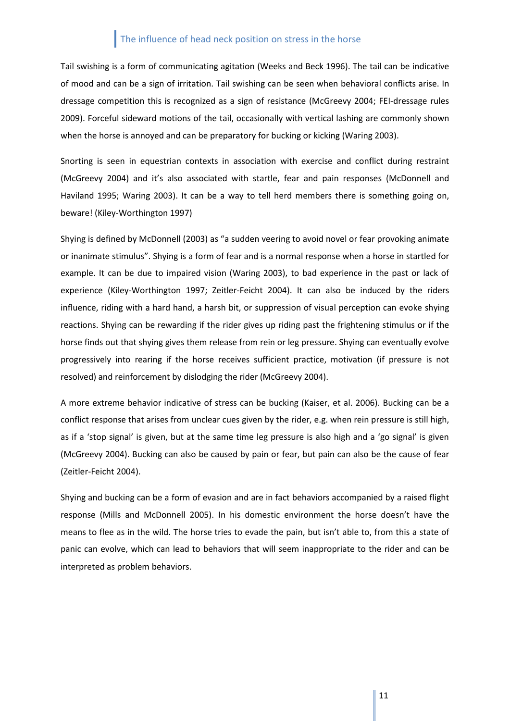Tail swishing is a form of communicating agitation (Weeks and Beck 1996). The tail can be indicative of mood and can be a sign of irritation. Tail swishing can be seen when behavioral conflicts arise. In dressage competition this is recognized as a sign of resistance (McGreevy 2004; FEI-dressage rules 2009). Forceful sideward motions of the tail, occasionally with vertical lashing are commonly shown when the horse is annoyed and can be preparatory for bucking or kicking (Waring 2003).

Snorting is seen in equestrian contexts in association with exercise and conflict during restraint (McGreevy 2004) and it's also associated with startle, fear and pain responses (McDonnell and Haviland 1995; Waring 2003). It can be a way to tell herd members there is something going on, beware! (Kiley-Worthington 1997)

Shying is defined by McDonnell (2003) as "a sudden veering to avoid novel or fear provoking animate or inanimate stimulus". Shying is a form of fear and is a normal response when a horse in startled for example. It can be due to impaired vision (Waring 2003), to bad experience in the past or lack of experience (Kiley-Worthington 1997; Zeitler-Feicht 2004). It can also be induced by the riders influence, riding with a hard hand, a harsh bit, or suppression of visual perception can evoke shying reactions. Shying can be rewarding if the rider gives up riding past the frightening stimulus or if the horse finds out that shying gives them release from rein or leg pressure. Shying can eventually evolve progressively into rearing if the horse receives sufficient practice, motivation (if pressure is not resolved) and reinforcement by dislodging the rider (McGreevy 2004).

A more extreme behavior indicative of stress can be bucking (Kaiser, et al. 2006). Bucking can be a conflict response that arises from unclear cues given by the rider, e.g. when rein pressure is still high, as if a 'stop signal' is given, but at the same time leg pressure is also high and a 'go signal' is given (McGreevy 2004). Bucking can also be caused by pain or fear, but pain can also be the cause of fear (Zeitler-Feicht 2004).

Shying and bucking can be a form of evasion and are in fact behaviors accompanied by a raised flight response (Mills and McDonnell 2005). In his domestic environment the horse doesn't have the means to flee as in the wild. The horse tries to evade the pain, but isn't able to, from this a state of panic can evolve, which can lead to behaviors that will seem inappropriate to the rider and can be interpreted as problem behaviors.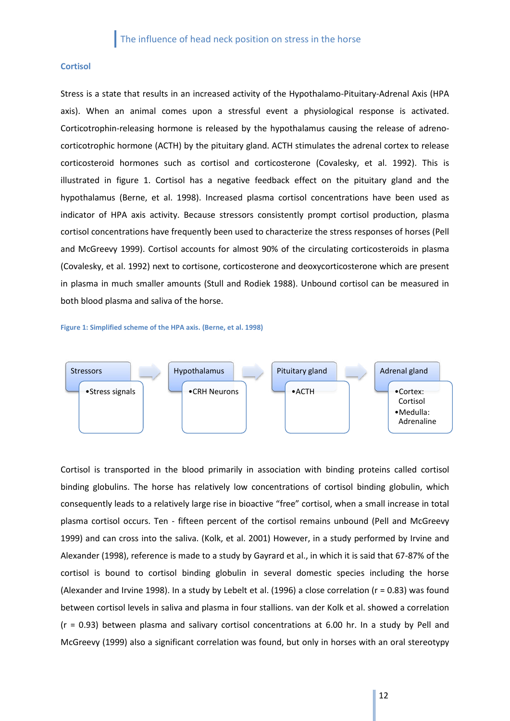### <span id="page-11-0"></span>**Cortisol**

Stress is a state that results in an increased activity of the Hypothalamo-Pituitary-Adrenal Axis (HPA axis). When an animal comes upon a stressful event a physiological response is activated. Corticotrophin-releasing hormone is released by the hypothalamus causing the release of adrenocorticotrophic hormone (ACTH) by the pituitary gland. ACTH stimulates the adrenal cortex to release corticosteroid hormones such as cortisol and corticosterone (Covalesky, et al. 1992). This is illustrated in figure 1. Cortisol has a negative feedback effect on the pituitary gland and the hypothalamus (Berne, et al. 1998). Increased plasma cortisol concentrations have been used as indicator of HPA axis activity. Because stressors consistently prompt cortisol production, plasma cortisol concentrations have frequently been used to characterize the stress responses of horses (Pell and McGreevy 1999). Cortisol accounts for almost 90% of the circulating corticosteroids in plasma (Covalesky, et al. 1992) next to cortisone, corticosterone and deoxycorticosterone which are present in plasma in much smaller amounts (Stull and Rodiek 1988). Unbound cortisol can be measured in both blood plasma and saliva of the horse.

#### **Figure 1: Simplified scheme of the HPA axis. (Berne, et al. 1998)**



Cortisol is transported in the blood primarily in association with binding proteins called cortisol binding globulins. The horse has relatively low concentrations of cortisol binding globulin, which consequently leads to a relatively large rise in bioactive "free" cortisol, when a small increase in total plasma cortisol occurs. Ten - fifteen percent of the cortisol remains unbound (Pell and McGreevy 1999) and can cross into the saliva. (Kolk, et al. 2001) However, in a study performed by Irvine and Alexander (1998), reference is made to a study by Gayrard et al., in which it is said that 67-87% of the cortisol is bound to cortisol binding globulin in several domestic species including the horse (Alexander and Irvine 1998). In a study by Lebelt et al. (1996) a close correlation (r = 0.83) was found between cortisol levels in saliva and plasma in four stallions. van der Kolk et al. showed a correlation (r = 0.93) between plasma and salivary cortisol concentrations at 6.00 hr. In a study by Pell and McGreevy (1999) also a significant correlation was found, but only in horses with an oral stereotypy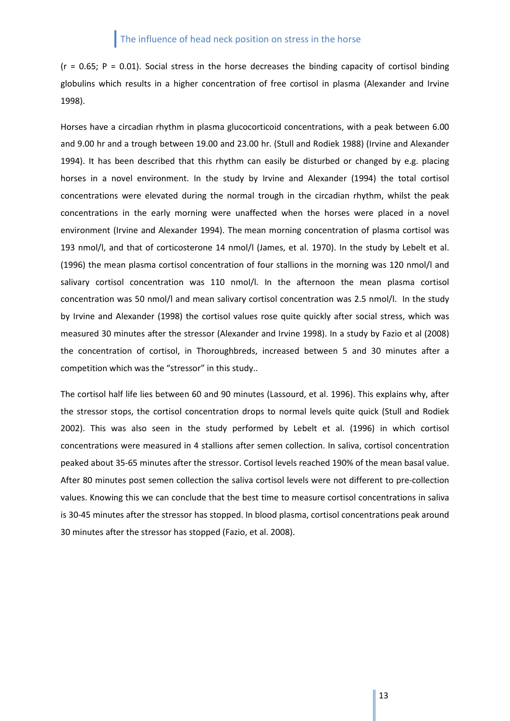$(r = 0.65; P = 0.01)$ . Social stress in the horse decreases the binding capacity of cortisol binding globulins which results in a higher concentration of free cortisol in plasma (Alexander and Irvine 1998).

Horses have a circadian rhythm in plasma glucocorticoid concentrations, with a peak between 6.00 and 9.00 hr and a trough between 19.00 and 23.00 hr. (Stull and Rodiek 1988) (Irvine and Alexander 1994). It has been described that this rhythm can easily be disturbed or changed by e.g. placing horses in a novel environment. In the study by Irvine and Alexander (1994) the total cortisol concentrations were elevated during the normal trough in the circadian rhythm, whilst the peak concentrations in the early morning were unaffected when the horses were placed in a novel environment (Irvine and Alexander 1994). The mean morning concentration of plasma cortisol was 193 nmol/l, and that of corticosterone 14 nmol/l (James, et al. 1970). In the study by Lebelt et al. (1996) the mean plasma cortisol concentration of four stallions in the morning was 120 nmol/l and salivary cortisol concentration was 110 nmol/l. In the afternoon the mean plasma cortisol concentration was 50 nmol/l and mean salivary cortisol concentration was 2.5 nmol/l. In the study by Irvine and Alexander (1998) the cortisol values rose quite quickly after social stress, which was measured 30 minutes after the stressor (Alexander and Irvine 1998). In a study by Fazio et al (2008) the concentration of cortisol, in Thoroughbreds, increased between 5 and 30 minutes after a competition which was the "stressor" in this study..

The cortisol half life lies between 60 and 90 minutes (Lassourd, et al. 1996). This explains why, after the stressor stops, the cortisol concentration drops to normal levels quite quick (Stull and Rodiek 2002). This was also seen in the study performed by Lebelt et al. (1996) in which cortisol concentrations were measured in 4 stallions after semen collection. In saliva, cortisol concentration peaked about 35-65 minutes after the stressor. Cortisol levels reached 190% of the mean basal value. After 80 minutes post semen collection the saliva cortisol levels were not different to pre-collection values. Knowing this we can conclude that the best time to measure cortisol concentrations in saliva is 30-45 minutes after the stressor has stopped. In blood plasma, cortisol concentrations peak around 30 minutes after the stressor has stopped (Fazio, et al. 2008).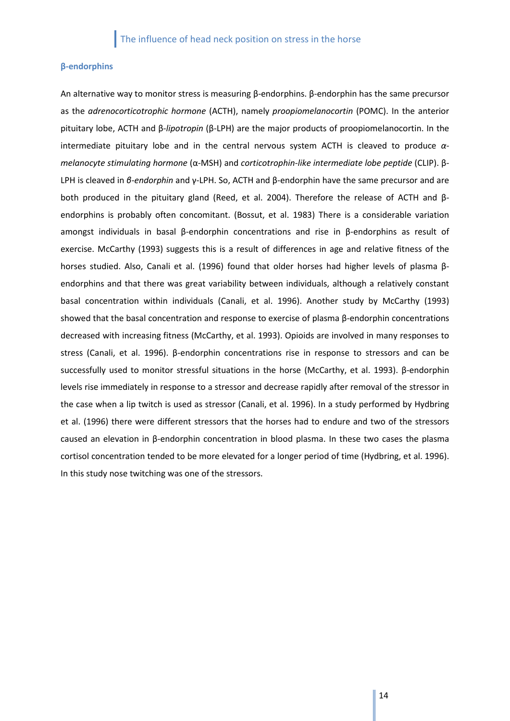## <span id="page-13-0"></span>**β-endorphins**

An alternative way to monitor stress is measuring β-endorphins. β-endorphin has the same precursor as the *adrenocorticotrophic hormone* (ACTH), namely *proopiomelanocortin* (POMC). In the anterior pituitary lobe, ACTH and β*-lipotropin* (β-LPH) are the major products of proopiomelanocortin. In the intermediate pituitary lobe and in the central nervous system ACTH is cleaved to produce *αmelanocyte stimulating hormone* (α-MSH) and *corticotrophin-like intermediate lobe peptide* (CLIP). β-LPH is cleaved in *β-endorphin* and γ-LPH. So, ACTH and β-endorphin have the same precursor and are both produced in the pituitary gland (Reed, et al. 2004). Therefore the release of ACTH and βendorphins is probably often concomitant. (Bossut, et al. 1983) There is a considerable variation amongst individuals in basal β-endorphin concentrations and rise in β-endorphins as result of exercise. McCarthy (1993) suggests this is a result of differences in age and relative fitness of the horses studied. Also, Canali et al. (1996) found that older horses had higher levels of plasma βendorphins and that there was great variability between individuals, although a relatively constant basal concentration within individuals (Canali, et al. 1996). Another study by McCarthy (1993) showed that the basal concentration and response to exercise of plasma β-endorphin concentrations decreased with increasing fitness (McCarthy, et al. 1993). Opioids are involved in many responses to stress (Canali, et al. 1996). β-endorphin concentrations rise in response to stressors and can be successfully used to monitor stressful situations in the horse (McCarthy, et al. 1993). β-endorphin levels rise immediately in response to a stressor and decrease rapidly after removal of the stressor in the case when a lip twitch is used as stressor (Canali, et al. 1996). In a study performed by Hydbring et al. (1996) there were different stressors that the horses had to endure and two of the stressors caused an elevation in β-endorphin concentration in blood plasma. In these two cases the plasma cortisol concentration tended to be more elevated for a longer period of time (Hydbring, et al. 1996). In this study nose twitching was one of the stressors.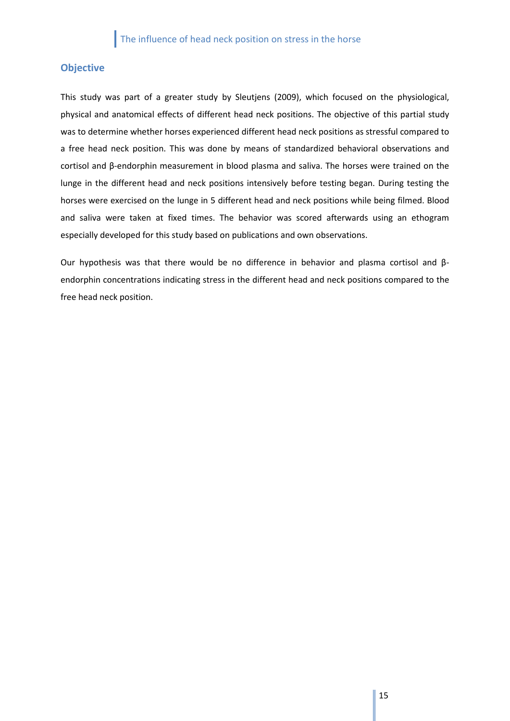## <span id="page-14-0"></span>**Objective**

This study was part of a greater study by Sleutjens (2009), which focused on the physiological, physical and anatomical effects of different head neck positions. The objective of this partial study was to determine whether horses experienced different head neck positions as stressful compared to a free head neck position. This was done by means of standardized behavioral observations and cortisol and β-endorphin measurement in blood plasma and saliva. The horses were trained on the lunge in the different head and neck positions intensively before testing began. During testing the horses were exercised on the lunge in 5 different head and neck positions while being filmed. Blood and saliva were taken at fixed times. The behavior was scored afterwards using an ethogram especially developed for this study based on publications and own observations.

Our hypothesis was that there would be no difference in behavior and plasma cortisol and βendorphin concentrations indicating stress in the different head and neck positions compared to the free head neck position.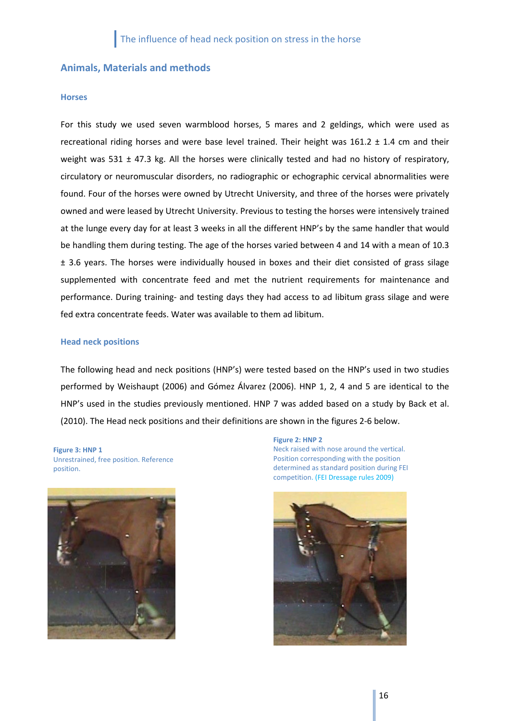## <span id="page-15-0"></span>**Animals, Materials and methods**

### <span id="page-15-1"></span>**Horses**

For this study we used seven warmblood horses, 5 mares and 2 geldings, which were used as recreational riding horses and were base level trained. Their height was  $161.2 \pm 1.4$  cm and their weight was 531  $\pm$  47.3 kg. All the horses were clinically tested and had no history of respiratory, circulatory or neuromuscular disorders, no radiographic or echographic cervical abnormalities were found. Four of the horses were owned by Utrecht University, and three of the horses were privately owned and were leased by Utrecht University. Previous to testing the horses were intensively trained at the lunge every day for at least 3 weeks in all the different HNP's by the same handler that would be handling them during testing. The age of the horses varied between 4 and 14 with a mean of 10.3 ± 3.6 years. The horses were individually housed in boxes and their diet consisted of grass silage supplemented with concentrate feed and met the nutrient requirements for maintenance and performance. During training- and testing days they had access to ad libitum grass silage and were fed extra concentrate feeds. Water was available to them ad libitum.

## <span id="page-15-2"></span>**Head neck positions**

The following head and neck positions (HNP's) were tested based on the HNP's used in two studies performed by Weishaupt (2006) and Gómez Álvarez (2006). HNP 1, 2, 4 and 5 are identical to the HNP's used in the studies previously mentioned. HNP 7 was added based on a study by Back et al. (2010). The Head neck positions and their definitions are shown in the figures 2-6 below.

**Figure 3: HNP 1** Unrestrained, free position. Reference position.



**Figure 2: HNP 2** Neck raised with nose around the vertical. Position corresponding with the position determined as standard position during FEI competition. (FEI Dressage rules 2009)

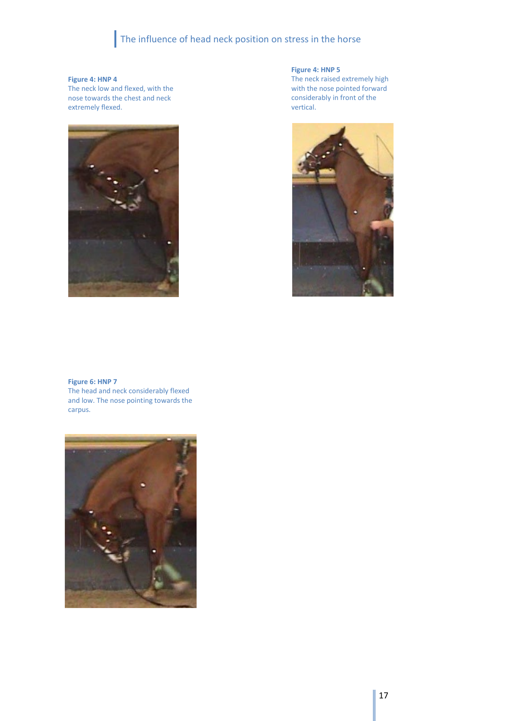## **Figure 4: HNP 4**

The neck low and flexed, with the nose towards the chest and neck extremely flexed.



**Figure 4: HNP 5**

The neck raised extremely high with the nose pointed forward considerably in front of the vertical.



## **Figure 6: HNP 7**

The head and neck considerably flexed and low. The nose pointing towards the carpus.

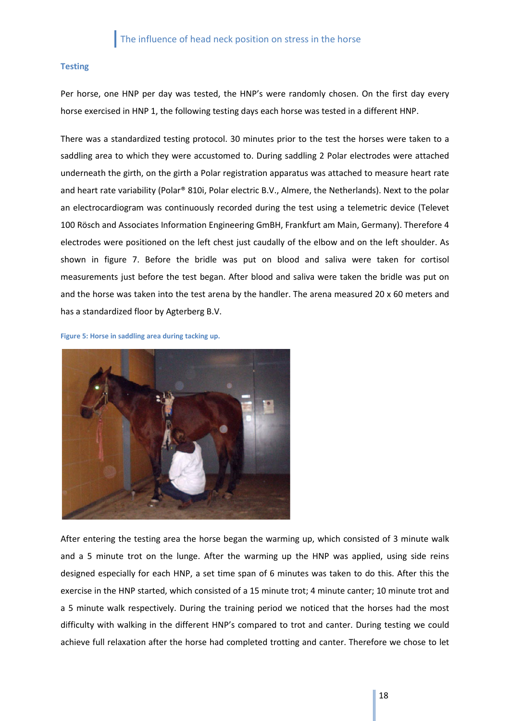## <span id="page-17-0"></span>**Testing**

Per horse, one HNP per day was tested, the HNP's were randomly chosen. On the first day every horse exercised in HNP 1, the following testing days each horse was tested in a different HNP.

There was a standardized testing protocol. 30 minutes prior to the test the horses were taken to a saddling area to which they were accustomed to. During saddling 2 Polar electrodes were attached underneath the girth, on the girth a Polar registration apparatus was attached to measure heart rate and heart rate variability (Polar® 810i, Polar electric B.V., Almere, the Netherlands). Next to the polar an electrocardiogram was continuously recorded during the test using a telemetric device (Televet 100 Rösch and Associates Information Engineering GmBH, Frankfurt am Main, Germany). Therefore 4 electrodes were positioned on the left chest just caudally of the elbow and on the left shoulder. As shown in figure 7. Before the bridle was put on blood and saliva were taken for cortisol measurements just before the test began. After blood and saliva were taken the bridle was put on and the horse was taken into the test arena by the handler. The arena measured 20 x 60 meters and has a standardized floor by Agterberg B.V.

**Figure 5: Horse in saddling area during tacking up.**



After entering the testing area the horse began the warming up, which consisted of 3 minute walk and a 5 minute trot on the lunge. After the warming up the HNP was applied, using side reins designed especially for each HNP, a set time span of 6 minutes was taken to do this. After this the exercise in the HNP started, which consisted of a 15 minute trot; 4 minute canter; 10 minute trot and a 5 minute walk respectively. During the training period we noticed that the horses had the most difficulty with walking in the different HNP's compared to trot and canter. During testing we could achieve full relaxation after the horse had completed trotting and canter. Therefore we chose to let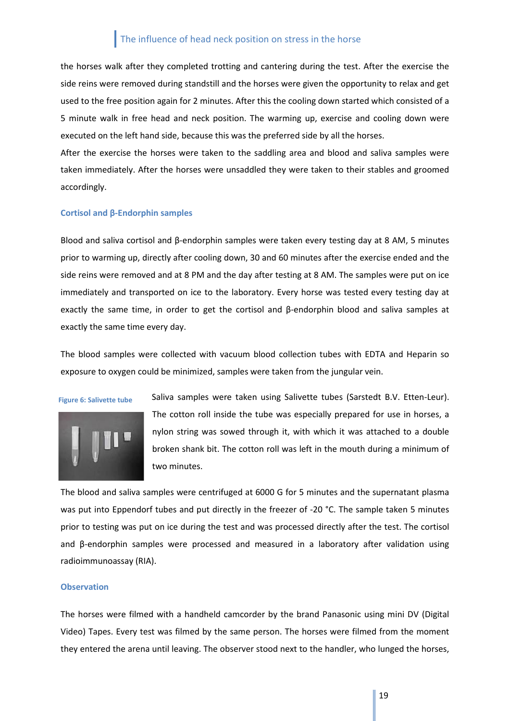the horses walk after they completed trotting and cantering during the test. After the exercise the side reins were removed during standstill and the horses were given the opportunity to relax and get used to the free position again for 2 minutes. After this the cooling down started which consisted of a 5 minute walk in free head and neck position. The warming up, exercise and cooling down were executed on the left hand side, because this was the preferred side by all the horses.

After the exercise the horses were taken to the saddling area and blood and saliva samples were taken immediately. After the horses were unsaddled they were taken to their stables and groomed accordingly.

#### <span id="page-18-0"></span>**Cortisol and β-Endorphin samples**

Blood and saliva cortisol and β-endorphin samples were taken every testing day at 8 AM, 5 minutes prior to warming up, directly after cooling down, 30 and 60 minutes after the exercise ended and the side reins were removed and at 8 PM and the day after testing at 8 AM. The samples were put on ice immediately and transported on ice to the laboratory. Every horse was tested every testing day at exactly the same time, in order to get the cortisol and  $\beta$ -endorphin blood and saliva samples at exactly the same time every day.

The blood samples were collected with vacuum blood collection tubes with EDTA and Heparin so exposure to oxygen could be minimized, samples were taken from the jungular vein.

**Figure 6: Salivette tube**



Saliva samples were taken using Salivette tubes (Sarstedt B.V. Etten-Leur). The cotton roll inside the tube was especially prepared for use in horses, a nylon string was sowed through it, with which it was attached to a double broken shank bit. The cotton roll was left in the mouth during a minimum of two minutes.

The blood and saliva samples were centrifuged at 6000 G for 5 minutes and the supernatant plasma was put into Eppendorf tubes and put directly in the freezer of -20 °C. The sample taken 5 minutes prior to testing was put on ice during the test and was processed directly after the test. The cortisol and β-endorphin samples were processed and measured in a laboratory after validation using radioimmunoassay (RIA).

### <span id="page-18-1"></span>**Observation**

The horses were filmed with a handheld camcorder by the brand Panasonic using mini DV (Digital Video) Tapes. Every test was filmed by the same person. The horses were filmed from the moment they entered the arena until leaving. The observer stood next to the handler, who lunged the horses,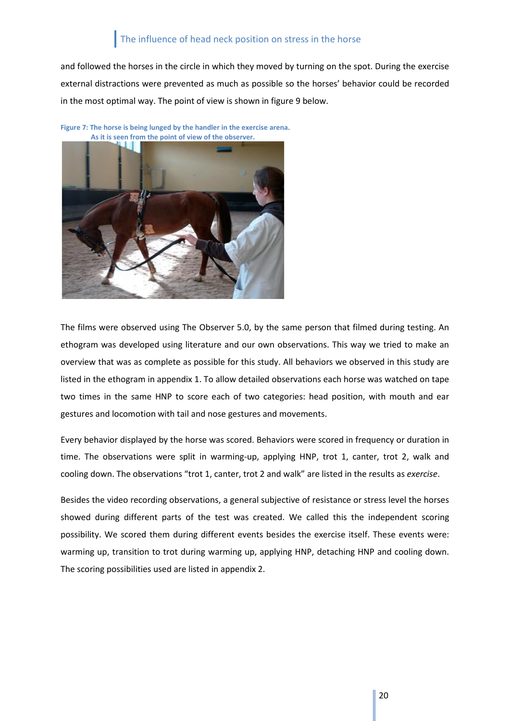and followed the horses in the circle in which they moved by turning on the spot. During the exercise external distractions were prevented as much as possible so the horses' behavior could be recorded in the most optimal way. The point of view is shown in figure 9 below.

**Figure 7: The horse is being lunged by the handler in the exercise arena. As it is seen from the point of view of the observer.**



The films were observed using The Observer 5.0, by the same person that filmed during testing. An ethogram was developed using literature and our own observations. This way we tried to make an overview that was as complete as possible for this study. All behaviors we observed in this study are listed in the ethogram in appendix 1. To allow detailed observations each horse was watched on tape two times in the same HNP to score each of two categories: head position, with mouth and ear gestures and locomotion with tail and nose gestures and movements.

Every behavior displayed by the horse was scored. Behaviors were scored in frequency or duration in time. The observations were split in warming-up, applying HNP, trot 1, canter, trot 2, walk and cooling down. The observations "trot 1, canter, trot 2 and walk" are listed in the results as *exercise*.

Besides the video recording observations, a general subjective of resistance or stress level the horses showed during different parts of the test was created. We called this the independent scoring possibility. We scored them during different events besides the exercise itself. These events were: warming up, transition to trot during warming up, applying HNP, detaching HNP and cooling down. The scoring possibilities used are listed in appendix 2.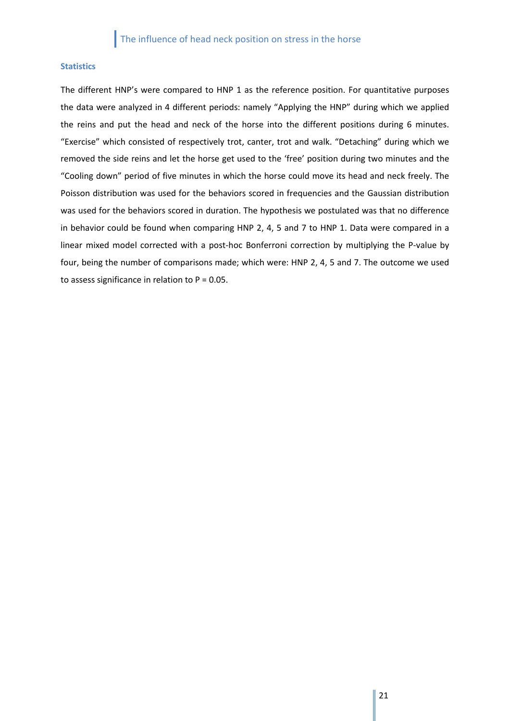## <span id="page-20-0"></span>**Statistics**

The different HNP's were compared to HNP 1 as the reference position. For quantitative purposes the data were analyzed in 4 different periods: namely "Applying the HNP" during which we applied the reins and put the head and neck of the horse into the different positions during 6 minutes. "Exercise" which consisted of respectively trot, canter, trot and walk. "Detaching" during which we removed the side reins and let the horse get used to the 'free' position during two minutes and the "Cooling down" period of five minutes in which the horse could move its head and neck freely. The Poisson distribution was used for the behaviors scored in frequencies and the Gaussian distribution was used for the behaviors scored in duration. The hypothesis we postulated was that no difference in behavior could be found when comparing HNP 2, 4, 5 and 7 to HNP 1. Data were compared in a linear mixed model corrected with a post-hoc Bonferroni correction by multiplying the P-value by four, being the number of comparisons made; which were: HNP 2, 4, 5 and 7. The outcome we used to assess significance in relation to  $P = 0.05$ .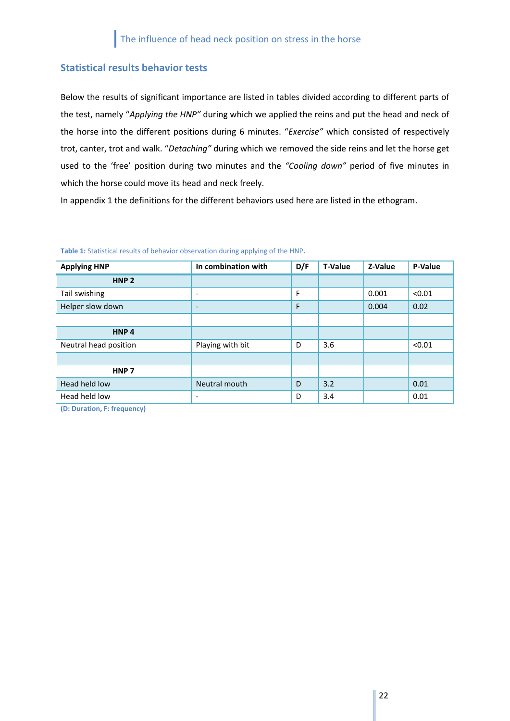## <span id="page-21-0"></span>**Statistical results behavior tests**

Below the results of significant importance are listed in tables divided according to different parts of the test, namely "*Applying the HNP"* during which we applied the reins and put the head and neck of the horse into the different positions during 6 minutes. "*Exercise"* which consisted of respectively trot, canter, trot and walk. "*Detaching"* during which we removed the side reins and let the horse get used to the 'free' position during two minutes and the *"Cooling down"* period of five minutes in which the horse could move its head and neck freely.

In appendix 1 the definitions for the different behaviors used here are listed in the ethogram.

| <b>Applying HNP</b>   | In combination with      | D/F | <b>T-Value</b> | Z-Value | P-Value |
|-----------------------|--------------------------|-----|----------------|---------|---------|
| HNP <sub>2</sub>      |                          |     |                |         |         |
| Tail swishing         | $\overline{\phantom{a}}$ | F   |                | 0.001   | < 0.01  |
| Helper slow down      | $\overline{\phantom{m}}$ | F   |                | 0.004   | 0.02    |
|                       |                          |     |                |         |         |
| HNP <sub>4</sub>      |                          |     |                |         |         |
| Neutral head position | Playing with bit         | D   | 3.6            |         | < 0.01  |
|                       |                          |     |                |         |         |
| HNP <sub>7</sub>      |                          |     |                |         |         |
| Head held low         | Neutral mouth            | D   | 3.2            |         | 0.01    |
| Head held low         | $\overline{\phantom{a}}$ | D   | 3.4            |         | 0.01    |

**Table 1:** Statistical results of behavior observation during applying of the HNP**.** 

**(D: Duration, F: frequency)**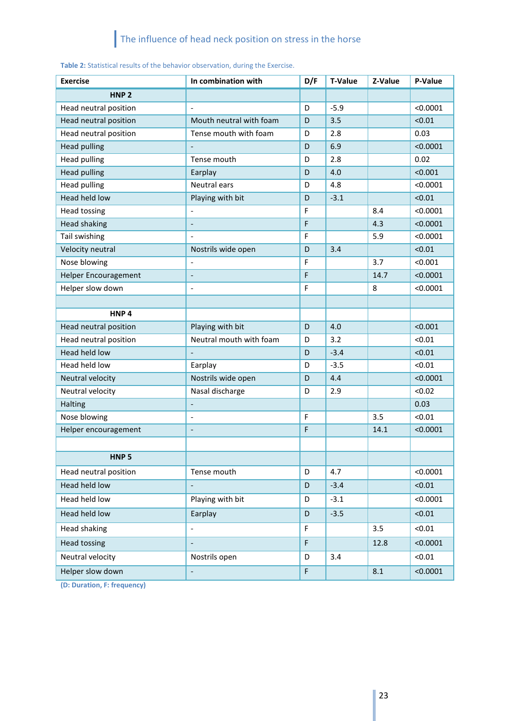| <b>Exercise</b>             | In combination with      | D/F | T-Value | Z-Value | P-Value  |
|-----------------------------|--------------------------|-----|---------|---------|----------|
| HNP <sub>2</sub>            |                          |     |         |         |          |
| Head neutral position       | $\overline{\phantom{0}}$ | D   | $-5.9$  |         | < 0.0001 |
| Head neutral position       | Mouth neutral with foam  | D   | 3.5     |         | < 0.01   |
| Head neutral position       | Tense mouth with foam    | D   | 2.8     |         | 0.03     |
| <b>Head pulling</b>         | $\frac{1}{2}$            | D   | 6.9     |         | < 0.0001 |
| <b>Head pulling</b>         | Tense mouth              | D   | 2.8     |         | 0.02     |
| <b>Head pulling</b>         | Earplay                  | D   | 4.0     |         | < 0.001  |
| <b>Head pulling</b>         | Neutral ears             | D   | 4.8     |         | < 0.0001 |
| Head held low               | Playing with bit         | D   | $-3.1$  |         | < 0.01   |
| <b>Head tossing</b>         |                          | F   |         | 8.4     | < 0.0001 |
| <b>Head shaking</b>         | $\overline{\phantom{a}}$ | F   |         | 4.3     | < 0.0001 |
| Tail swishing               |                          | F   |         | 5.9     | < 0.0001 |
| Velocity neutral            | Nostrils wide open       | D   | 3.4     |         | < 0.01   |
| Nose blowing                |                          | F   |         | 3.7     | < 0.001  |
| <b>Helper Encouragement</b> | $\overline{a}$           | F   |         | 14.7    | < 0.0001 |
| Helper slow down            |                          | F   |         | 8       | < 0.0001 |
|                             |                          |     |         |         |          |
| HNP <sub>4</sub>            |                          |     |         |         |          |
| Head neutral position       | Playing with bit         | D   | 4.0     |         | < 0.001  |
| Head neutral position       | Neutral mouth with foam  | D   | 3.2     |         | < 0.01   |
| Head held low               | $\frac{1}{2}$            | D   | $-3.4$  |         | < 0.01   |
| Head held low               | Earplay                  | D   | $-3.5$  |         | < 0.01   |
| Neutral velocity            | Nostrils wide open       | D   | 4.4     |         | < 0.0001 |
| Neutral velocity            | Nasal discharge          | D   | 2.9     |         | < 0.02   |
| Halting                     | $\frac{1}{2}$            |     |         |         | 0.03     |
| Nose blowing                | $\overline{a}$           | F   |         | 3.5     | < 0.01   |
| Helper encouragement        | $\blacksquare$           | F   |         | 14.1    | < 0.0001 |
|                             |                          |     |         |         |          |
| HNP <sub>5</sub>            |                          |     |         |         |          |
| Head neutral position       | Tense mouth              | D   | 4.7     |         | < 0.0001 |
| Head held low               |                          | D   | $-3.4$  |         | < 0.01   |
| Head held low               | Playing with bit         | D   | $-3.1$  |         | < 0.0001 |
| Head held low               | Earplay                  | D   | $-3.5$  |         | < 0.01   |
| Head shaking                | $\overline{\phantom{0}}$ | F   |         | 3.5     | < 0.01   |
| <b>Head tossing</b>         | $\qquad \qquad -$        | F   |         | 12.8    | < 0.0001 |
| Neutral velocity            | Nostrils open            | D   | 3.4     |         | < 0.01   |
| Helper slow down            | $\Box$                   | F   |         | 8.1     | < 0.0001 |

**Table 2:** Statistical results of the behavior observation, during the Exercise.

**(D: Duration, F: frequency)**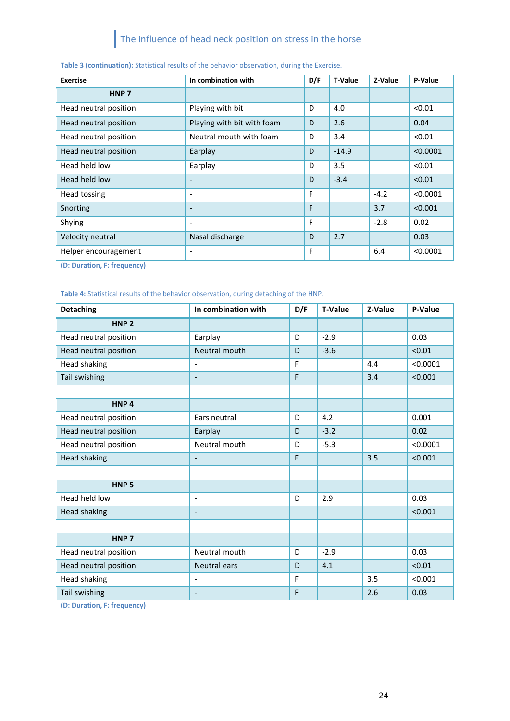| <b>Exercise</b>       | In combination with          | D/F | <b>T-Value</b> | Z-Value | P-Value  |
|-----------------------|------------------------------|-----|----------------|---------|----------|
| HNP <sub>7</sub>      |                              |     |                |         |          |
| Head neutral position | Playing with bit             | D   | 4.0            |         | < 0.01   |
| Head neutral position | Playing with bit with foam   | D   | 2.6            |         | 0.04     |
| Head neutral position | Neutral mouth with foam      | D   | 3.4            |         | < 0.01   |
| Head neutral position | Earplay                      | D   | $-14.9$        |         | < 0.0001 |
| Head held low         | Earplay                      | D   | 3.5            |         | < 0.01   |
| Head held low         | $\overline{\phantom{0}}$     | D   | $-3.4$         |         | < 0.01   |
| Head tossing          | ٠                            | F   |                | $-4.2$  | < 0.0001 |
| Snorting              | $\qquad \qquad \blacksquare$ | F   |                | 3.7     | < 0.001  |
| Shying                | $\overline{\phantom{a}}$     | F   |                | $-2.8$  | 0.02     |
| Velocity neutral      | Nasal discharge              | D   | 2.7            |         | 0.03     |
| Helper encouragement  | ٠                            | F   |                | 6.4     | < 0.0001 |

## **Table 3 (continuation):** Statistical results of the behavior observation, during the Exercise.

**(D: Duration, F: frequency)**

## **Table 4:** Statistical results of the behavior observation, during detaching of the HNP.

| <b>Detaching</b>                                                                                                                                                           | In combination with      | D/F | <b>T-Value</b> | Z-Value | P-Value  |
|----------------------------------------------------------------------------------------------------------------------------------------------------------------------------|--------------------------|-----|----------------|---------|----------|
| HNP <sub>2</sub>                                                                                                                                                           |                          |     |                |         |          |
| Head neutral position                                                                                                                                                      | Earplay                  | D   | $-2.9$         |         | 0.03     |
| Head neutral position                                                                                                                                                      | Neutral mouth            | D   | $-3.6$         |         | < 0.01   |
| Head shaking                                                                                                                                                               | $\overline{\phantom{0}}$ | F   |                | 4.4     | < 0.0001 |
| Tail swishing                                                                                                                                                              | $\qquad \qquad -$        | F   |                | 3.4     | < 0.001  |
|                                                                                                                                                                            |                          |     |                |         |          |
| HNP <sub>4</sub>                                                                                                                                                           |                          |     |                |         |          |
| Head neutral position                                                                                                                                                      | Ears neutral             | D   | 4.2            |         | 0.001    |
| Head neutral position                                                                                                                                                      | Earplay                  | D   | $-3.2$         |         | 0.02     |
| Head neutral position                                                                                                                                                      | Neutral mouth            | D   | $-5.3$         |         | < 0.0001 |
| <b>Head shaking</b>                                                                                                                                                        | $\overline{\phantom{m}}$ | F   |                | 3.5     | < 0.001  |
|                                                                                                                                                                            |                          |     |                |         |          |
| HNP <sub>5</sub>                                                                                                                                                           |                          |     |                |         |          |
| Head held low                                                                                                                                                              | $\overline{\phantom{0}}$ | D   | 2.9            |         | 0.03     |
| <b>Head shaking</b>                                                                                                                                                        | $\overline{\phantom{a}}$ |     |                |         | < 0.001  |
|                                                                                                                                                                            |                          |     |                |         |          |
| HNP <sub>7</sub>                                                                                                                                                           |                          |     |                |         |          |
| Head neutral position                                                                                                                                                      | Neutral mouth            | D   | $-2.9$         |         | 0.03     |
| Head neutral position                                                                                                                                                      | <b>Neutral ears</b>      | D   | 4.1            |         | < 0.01   |
| Head shaking                                                                                                                                                               | $\overline{\phantom{a}}$ | F   |                | 3.5     | < 0.001  |
| Tail swishing<br>$\mathbf{r} = \mathbf{r}$ , $\mathbf{r} = \mathbf{r}$ , $\mathbf{r} = \mathbf{r}$ , $\mathbf{r} = \mathbf{r}$ , $\mathbf{r} = \mathbf{r}$<br>$\mathbf{A}$ | $\overline{\phantom{a}}$ | F   |                | 2.6     | 0.03     |

**(D: Duration, F: frequency)**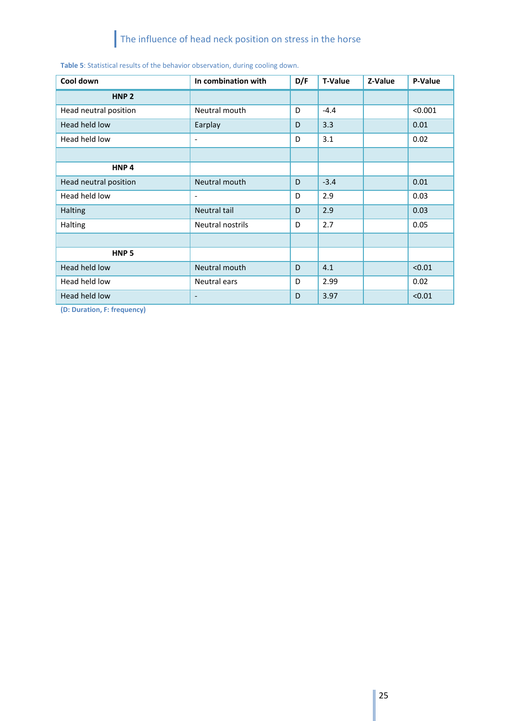| Cool down             | In combination with          | D/F | <b>T-Value</b> | Z-Value | P-Value |
|-----------------------|------------------------------|-----|----------------|---------|---------|
| HNP <sub>2</sub>      |                              |     |                |         |         |
| Head neutral position | Neutral mouth                | D   | $-4.4$         |         | < 0.001 |
| Head held low         | Earplay                      | D   | 3.3            |         | 0.01    |
| Head held low         | $\overline{\phantom{a}}$     | D   | 3.1            |         | 0.02    |
|                       |                              |     |                |         |         |
| HNP <sub>4</sub>      |                              |     |                |         |         |
| Head neutral position | Neutral mouth                | D   | $-3.4$         |         | 0.01    |
| Head held low         | $\overline{\phantom{a}}$     | D   | 2.9            |         | 0.03    |
| <b>Halting</b>        | Neutral tail                 | D   | 2.9            |         | 0.03    |
| Halting               | <b>Neutral nostrils</b>      | D   | 2.7            |         | 0.05    |
|                       |                              |     |                |         |         |
| HNP <sub>5</sub>      |                              |     |                |         |         |
| Head held low         | Neutral mouth                | D   | 4.1            |         | < 0.01  |
| Head held low         | Neutral ears                 | D   | 2.99           |         | 0.02    |
| Head held low         | $\qquad \qquad \blacksquare$ | D   | 3.97           |         | < 0.01  |

**(D: Duration, F: frequency)**

Ш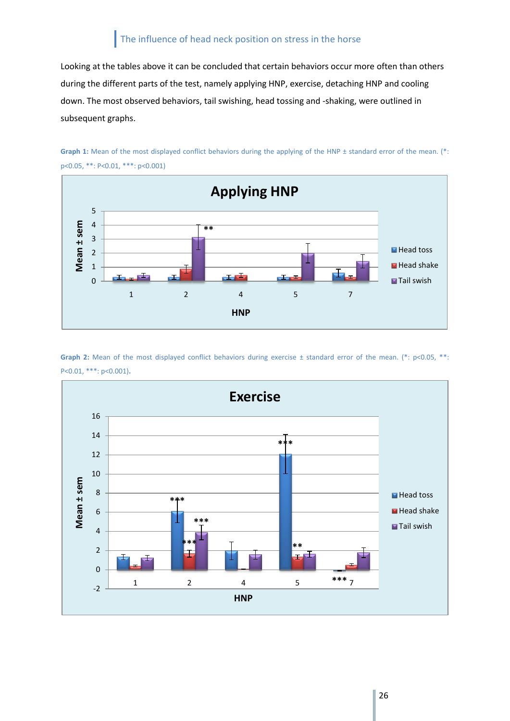Looking at the tables above it can be concluded that certain behaviors occur more often than others during the different parts of the test, namely applying HNP, exercise, detaching HNP and cooling down. The most observed behaviors, tail swishing, head tossing and -shaking, were outlined in subsequent graphs.



Graph 1: Mean of the most displayed conflict behaviors during the applying of the HNP ± standard error of the mean. (\*: p<0.05, \*\*: P<0.01, \*\*\*: p<0.001)

Graph 2: Mean of the most displayed conflict behaviors during exercise ± standard error of the mean. (\*: p<0.05, \*\*: P<0.01, \*\*\*: p<0.001)**.**

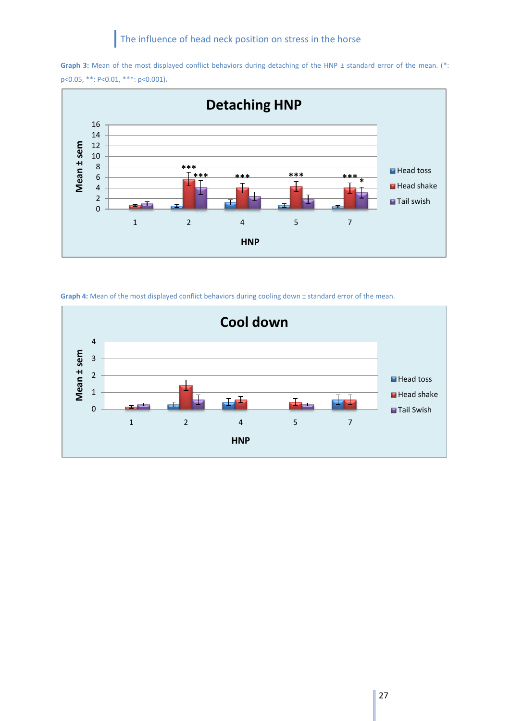



Graph 4: Mean of the most displayed conflict behaviors during cooling down ± standard error of the mean.

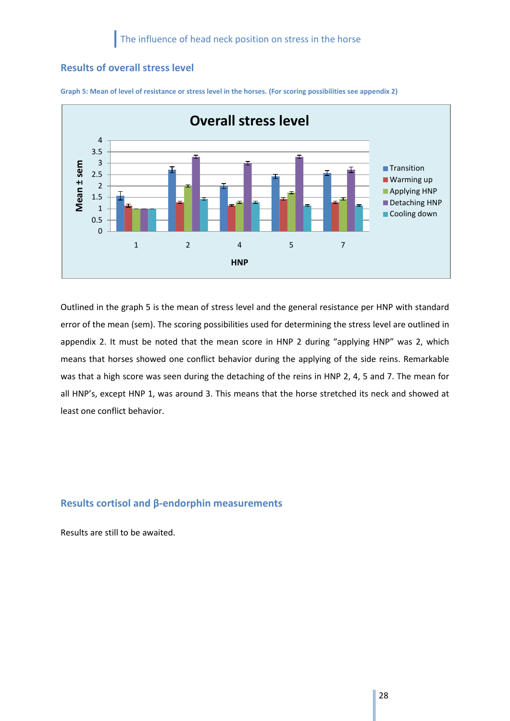## <span id="page-27-0"></span>**Results of overall stress level**



**Graph 5: Mean of level of resistance or stress level in the horses. (For scoring possibilities see appendix 2)**

Outlined in the graph 5 is the mean of stress level and the general resistance per HNP with standard error of the mean (sem). The scoring possibilities used for determining the stress level are outlined in appendix 2. It must be noted that the mean score in HNP 2 during "applying HNP" was 2, which means that horses showed one conflict behavior during the applying of the side reins. Remarkable was that a high score was seen during the detaching of the reins in HNP 2, 4, 5 and 7. The mean for all HNP's, except HNP 1, was around 3. This means that the horse stretched its neck and showed at least one conflict behavior.

## <span id="page-27-1"></span>**Results cortisol and β-endorphin measurements**

Results are still to be awaited.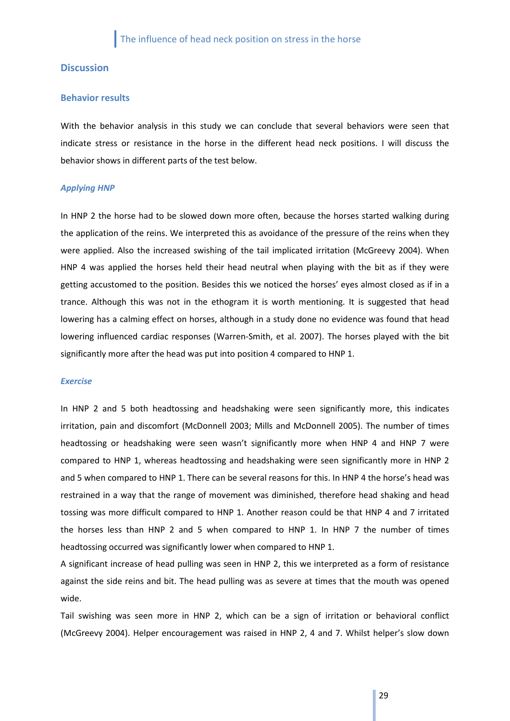## <span id="page-28-0"></span>**Discussion**

#### <span id="page-28-1"></span>**Behavior results**

With the behavior analysis in this study we can conclude that several behaviors were seen that indicate stress or resistance in the horse in the different head neck positions. I will discuss the behavior shows in different parts of the test below.

#### *Applying HNP*

In HNP 2 the horse had to be slowed down more often, because the horses started walking during the application of the reins. We interpreted this as avoidance of the pressure of the reins when they were applied. Also the increased swishing of the tail implicated irritation (McGreevy 2004). When HNP 4 was applied the horses held their head neutral when playing with the bit as if they were getting accustomed to the position. Besides this we noticed the horses' eyes almost closed as if in a trance. Although this was not in the ethogram it is worth mentioning. It is suggested that head lowering has a calming effect on horses, although in a study done no evidence was found that head lowering influenced cardiac responses (Warren-Smith, et al. 2007). The horses played with the bit significantly more after the head was put into position 4 compared to HNP 1.

#### *Exercise*

In HNP 2 and 5 both headtossing and headshaking were seen significantly more, this indicates irritation, pain and discomfort (McDonnell 2003; Mills and McDonnell 2005). The number of times headtossing or headshaking were seen wasn't significantly more when HNP 4 and HNP 7 were compared to HNP 1, whereas headtossing and headshaking were seen significantly more in HNP 2 and 5 when compared to HNP 1. There can be several reasons for this. In HNP 4 the horse's head was restrained in a way that the range of movement was diminished, therefore head shaking and head tossing was more difficult compared to HNP 1. Another reason could be that HNP 4 and 7 irritated the horses less than HNP 2 and 5 when compared to HNP 1. In HNP 7 the number of times headtossing occurred was significantly lower when compared to HNP 1.

A significant increase of head pulling was seen in HNP 2, this we interpreted as a form of resistance against the side reins and bit. The head pulling was as severe at times that the mouth was opened wide.

Tail swishing was seen more in HNP 2, which can be a sign of irritation or behavioral conflict (McGreevy 2004). Helper encouragement was raised in HNP 2, 4 and 7. Whilst helper's slow down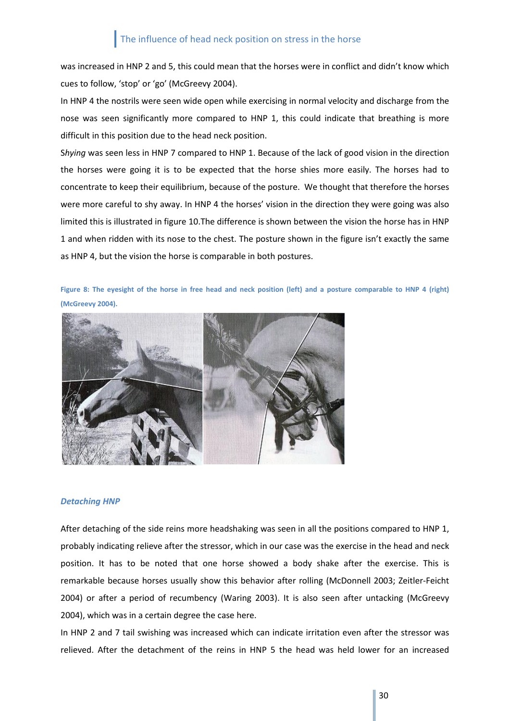was increased in HNP 2 and 5, this could mean that the horses were in conflict and didn't know which cues to follow, 'stop' or 'go' (McGreevy 2004).

In HNP 4 the nostrils were seen wide open while exercising in normal velocity and discharge from the nose was seen significantly more compared to HNP 1, this could indicate that breathing is more difficult in this position due to the head neck position.

S*hying* was seen less in HNP 7 compared to HNP 1. Because of the lack of good vision in the direction the horses were going it is to be expected that the horse shies more easily. The horses had to concentrate to keep their equilibrium, because of the posture. We thought that therefore the horses were more careful to shy away. In HNP 4 the horses' vision in the direction they were going was also limited this is illustrated in figure 10.The difference is shown between the vision the horse has in HNP 1 and when ridden with its nose to the chest. The posture shown in the figure isn't exactly the same as HNP 4, but the vision the horse is comparable in both postures.

**Figure 8: The eyesight of the horse in free head and neck position (left) and a posture comparable to HNP 4 (right) (McGreevy 2004).** 



### *Detaching HNP*

After detaching of the side reins more headshaking was seen in all the positions compared to HNP 1, probably indicating relieve after the stressor, which in our case was the exercise in the head and neck position. It has to be noted that one horse showed a body shake after the exercise. This is remarkable because horses usually show this behavior after rolling (McDonnell 2003; Zeitler-Feicht 2004) or after a period of recumbency (Waring 2003). It is also seen after untacking (McGreevy 2004), which was in a certain degree the case here.

In HNP 2 and 7 tail swishing was increased which can indicate irritation even after the stressor was relieved. After the detachment of the reins in HNP 5 the head was held lower for an increased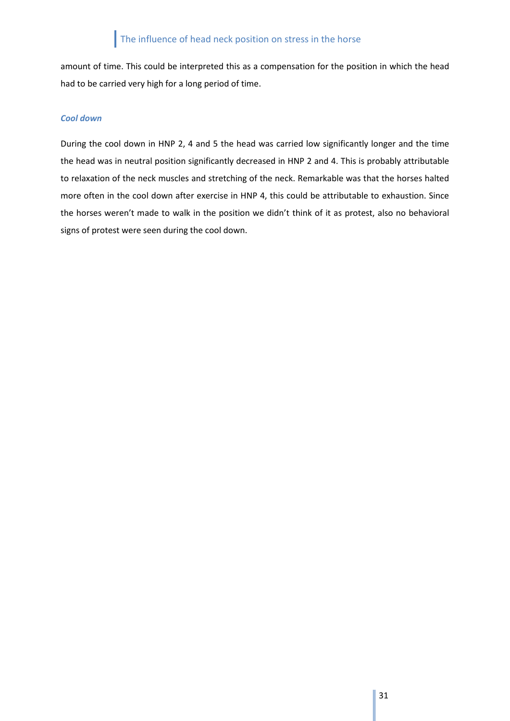amount of time. This could be interpreted this as a compensation for the position in which the head had to be carried very high for a long period of time.

## *Cool down*

During the cool down in HNP 2, 4 and 5 the head was carried low significantly longer and the time the head was in neutral position significantly decreased in HNP 2 and 4. This is probably attributable to relaxation of the neck muscles and stretching of the neck. Remarkable was that the horses halted more often in the cool down after exercise in HNP 4, this could be attributable to exhaustion. Since the horses weren't made to walk in the position we didn't think of it as protest, also no behavioral signs of protest were seen during the cool down.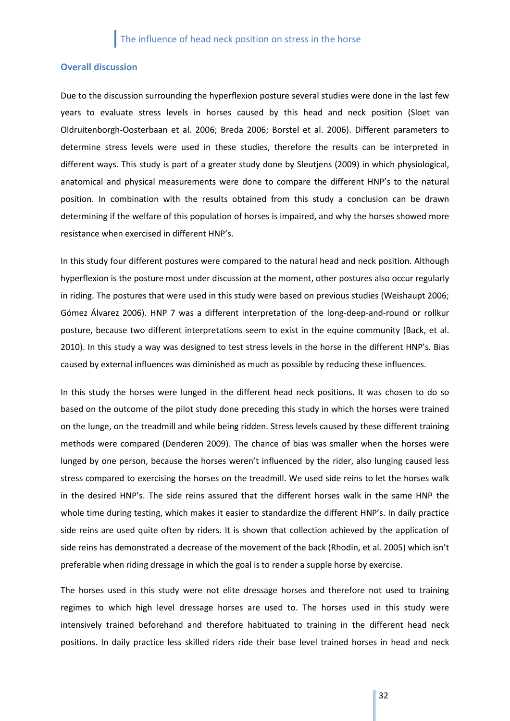#### <span id="page-31-0"></span>**Overall discussion**

Due to the discussion surrounding the hyperflexion posture several studies were done in the last few years to evaluate stress levels in horses caused by this head and neck position (Sloet van Oldruitenborgh-Oosterbaan et al. 2006; Breda 2006; Borstel et al. 2006). Different parameters to determine stress levels were used in these studies, therefore the results can be interpreted in different ways. This study is part of a greater study done by Sleutjens (2009) in which physiological, anatomical and physical measurements were done to compare the different HNP's to the natural position. In combination with the results obtained from this study a conclusion can be drawn determining if the welfare of this population of horses is impaired, and why the horses showed more resistance when exercised in different HNP's.

In this study four different postures were compared to the natural head and neck position. Although hyperflexion is the posture most under discussion at the moment, other postures also occur regularly in riding. The postures that were used in this study were based on previous studies (Weishaupt 2006; Gómez Álvarez 2006). HNP 7 was a different interpretation of the long-deep-and-round or rollkur posture, because two different interpretations seem to exist in the equine community (Back, et al. 2010). In this study a way was designed to test stress levels in the horse in the different HNP's. Bias caused by external influences was diminished as much as possible by reducing these influences.

In this study the horses were lunged in the different head neck positions. It was chosen to do so based on the outcome of the pilot study done preceding this study in which the horses were trained on the lunge, on the treadmill and while being ridden. Stress levels caused by these different training methods were compared (Denderen 2009). The chance of bias was smaller when the horses were lunged by one person, because the horses weren't influenced by the rider, also lunging caused less stress compared to exercising the horses on the treadmill. We used side reins to let the horses walk in the desired HNP's. The side reins assured that the different horses walk in the same HNP the whole time during testing, which makes it easier to standardize the different HNP's. In daily practice side reins are used quite often by riders. It is shown that collection achieved by the application of side reins has demonstrated a decrease of the movement of the back (Rhodin, et al. 2005) which isn't preferable when riding dressage in which the goal is to render a supple horse by exercise.

The horses used in this study were not elite dressage horses and therefore not used to training regimes to which high level dressage horses are used to. The horses used in this study were intensively trained beforehand and therefore habituated to training in the different head neck positions. In daily practice less skilled riders ride their base level trained horses in head and neck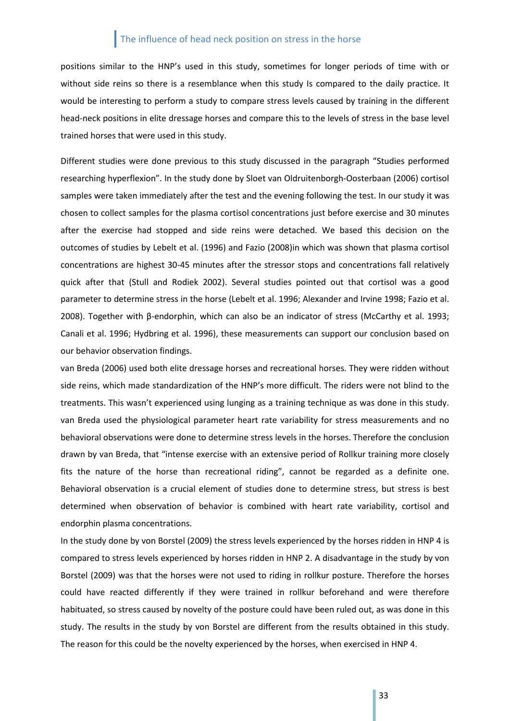positions similar to the HNP's used in this study, sometimes for longer periods of time with or without side reins so there is a resemblance when this study Is compared to the daily practice. It would be interesting to perform a study to compare stress levels caused by training in the different head-neck positions in elite dressage horses and compare this to the levels of stress in the base level trained horses that were used in this study.

Different studies were done previous to this study discussed in the paragraph "Studies performed researching hyperflexion". In the study done by Sloet van Oldruitenborgh-Oosterbaan (2006) cortisol samples were taken immediately after the test and the evening following the test. In our study it was chosen to collect samples for the plasma cortisol concentrations just before exercise and 30 minutes after the exercise had stopped and side reins were detached. We based this decision on the outcomes of studies by Lebelt et al. (1996) and Fazio (2008)in which was shown that plasma cortisol concentrations are highest 30-45 minutes after the stressor stops and concentrations fall relatively quick after that (Stull and Rodiek 2002). Several studies pointed out that cortisol was a good parameter to determine stress in the horse (Lebelt et al. 1996; Alexander and Irvine 1998; Fazio et al. 2008). Together with β-endorphin, which can also be an indicator of stress (McCarthy et al. 1993; Canali et al. 1996; Hydbring et al. 1996), these measurements can support our conclusion based on our behavior observation findings.

van Breda (2006) used both elite dressage horses and recreational horses. They were ridden without side reins, which made standardization of the HNP's more difficult. The riders were not blind to the treatments. This wasn't experienced using lunging as a training technique as was done in this study. van Breda used the physiological parameter heart rate variability for stress measurements and no behavioral observations were done to determine stress levels in the horses. Therefore the conclusion drawn by van Breda, that "intense exercise with an extensive period of Rollkur training more closely fits the nature of the horse than recreational riding", cannot be regarded as a definite one. Behavioral observation is a crucial element of studies done to determine stress, but stress is best determined when observation of behavior is combined with heart rate variability, cortisol and endorphin plasma concentrations.

In the study done by von Borstel (2009) the stress levels experienced by the horses ridden in HNP 4 is compared to stress levels experienced by horses ridden in HNP 2. A disadvantage in the study by von Borstel (2009) was that the horses were not used to riding in rollkur posture. Therefore the horses could have reacted differently if they were trained in rollkur beforehand and were therefore habituated, so stress caused by novelty of the posture could have been ruled out, as was done in this study. The results in the study by von Borstel are different from the results obtained in this study. The reason for this could be the novelty experienced by the horses, when exercised in HNP 4.

33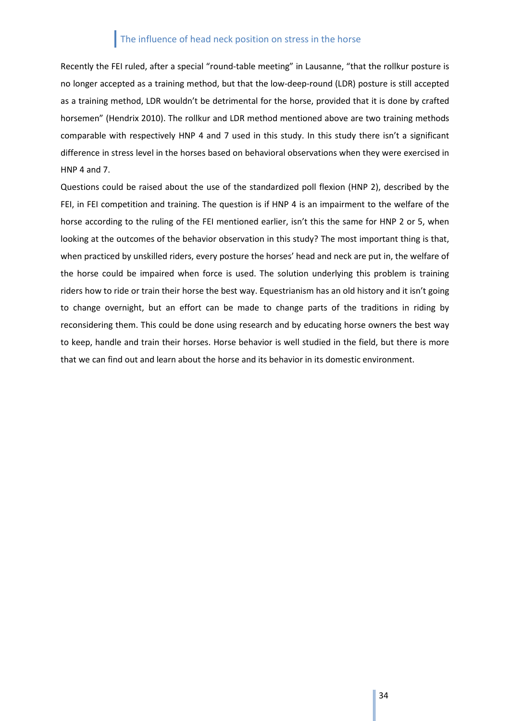Recently the FEI ruled, after a special "round-table meeting" in Lausanne, "that the rollkur posture is no longer accepted as a training method, but that the low-deep-round (LDR) posture is still accepted as a training method, LDR wouldn't be detrimental for the horse, provided that it is done by crafted horsemen" (Hendrix 2010). The rollkur and LDR method mentioned above are two training methods comparable with respectively HNP 4 and 7 used in this study. In this study there isn't a significant difference in stress level in the horses based on behavioral observations when they were exercised in HNP 4 and 7.

Questions could be raised about the use of the standardized poll flexion (HNP 2), described by the FEI, in FEI competition and training. The question is if HNP 4 is an impairment to the welfare of the horse according to the ruling of the FEI mentioned earlier, isn't this the same for HNP 2 or 5, when looking at the outcomes of the behavior observation in this study? The most important thing is that, when practiced by unskilled riders, every posture the horses' head and neck are put in, the welfare of the horse could be impaired when force is used. The solution underlying this problem is training riders how to ride or train their horse the best way. Equestrianism has an old history and it isn't going to change overnight, but an effort can be made to change parts of the traditions in riding by reconsidering them. This could be done using research and by educating horse owners the best way to keep, handle and train their horses. Horse behavior is well studied in the field, but there is more that we can find out and learn about the horse and its behavior in its domestic environment.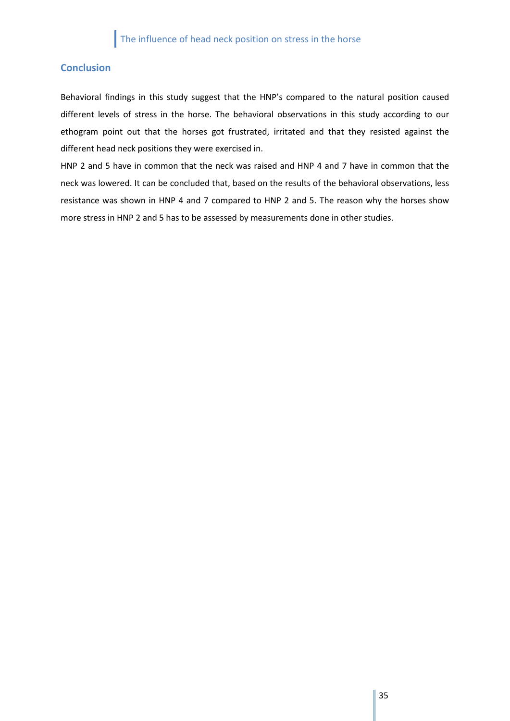## <span id="page-34-0"></span>**Conclusion**

Behavioral findings in this study suggest that the HNP's compared to the natural position caused different levels of stress in the horse. The behavioral observations in this study according to our ethogram point out that the horses got frustrated, irritated and that they resisted against the different head neck positions they were exercised in.

HNP 2 and 5 have in common that the neck was raised and HNP 4 and 7 have in common that the neck was lowered. It can be concluded that, based on the results of the behavioral observations, less resistance was shown in HNP 4 and 7 compared to HNP 2 and 5. The reason why the horses show more stress in HNP 2 and 5 has to be assessed by measurements done in other studies.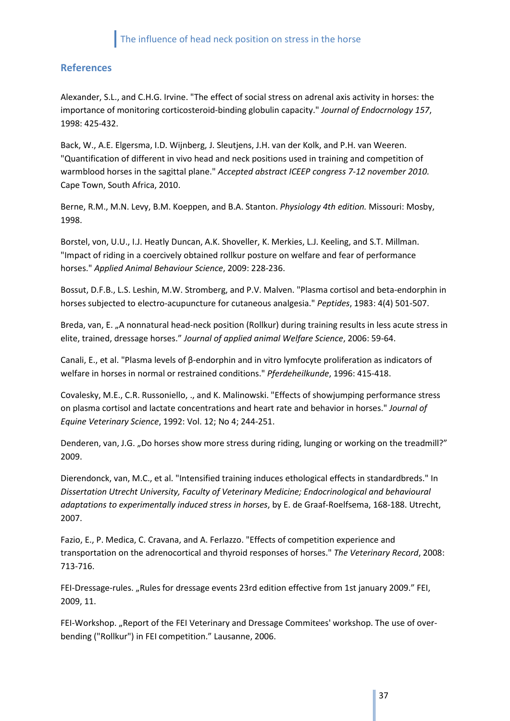## <span id="page-36-0"></span>**References**

Alexander, S.L., and C.H.G. Irvine. "The effect of social stress on adrenal axis activity in horses: the importance of monitoring corticosteroid-binding globulin capacity." *Journal of Endocrnology 157*, 1998: 425-432.

Back, W., A.E. Elgersma, I.D. Wijnberg, J. Sleutjens, J.H. van der Kolk, and P.H. van Weeren. "Quantification of different in vivo head and neck positions used in training and competition of warmblood horses in the sagittal plane." *Accepted abstract ICEEP congress 7-12 november 2010.* Cape Town, South Africa, 2010.

Berne, R.M., M.N. Levy, B.M. Koeppen, and B.A. Stanton. *Physiology 4th edition.* Missouri: Mosby, 1998.

Borstel, von, U.U., I.J. Heatly Duncan, A.K. Shoveller, K. Merkies, L.J. Keeling, and S.T. Millman. "Impact of riding in a coercively obtained rollkur posture on welfare and fear of performance horses." *Applied Animal Behaviour Science*, 2009: 228-236.

Bossut, D.F.B., L.S. Leshin, M.W. Stromberg, and P.V. Malven. "Plasma cortisol and beta-endorphin in horses subjected to electro-acupuncture for cutaneous analgesia." *Peptides*, 1983: 4(4) 501-507.

Breda, van, E. "A nonnatural head-neck position (Rollkur) during training results in less acute stress in elite, trained, dressage horses." *Journal of applied animal Welfare Science*, 2006: 59-64.

Canali, E., et al. "Plasma levels of β-endorphin and in vitro lymfocyte proliferation as indicators of welfare in horses in normal or restrained conditions." *Pferdeheilkunde*, 1996: 415-418.

Covalesky, M.E., C.R. Russoniello, ., and K. Malinowski. "Effects of showjumping performance stress on plasma cortisol and lactate concentrations and heart rate and behavior in horses." *Journal of Equine Veterinary Science*, 1992: Vol. 12; No 4; 244-251.

Denderen, van, J.G. "Do horses show more stress during riding, lunging or working on the treadmill?" 2009.

Dierendonck, van, M.C., et al. "Intensified training induces ethological effects in standardbreds." In *Dissertation Utrecht University, Faculty of Veterinary Medicine; Endocrinological and behavioural adaptations to experimentally induced stress in horses*, by E. de Graaf-Roelfsema, 168-188. Utrecht, 2007.

Fazio, E., P. Medica, C. Cravana, and A. Ferlazzo. "Effects of competition experience and transportation on the adrenocortical and thyroid responses of horses." *The Veterinary Record*, 2008: 713-716.

FEI-Dressage-rules. "Rules for dressage events 23rd edition effective from 1st january 2009." FEI, 2009, 11.

FEI-Workshop. "Report of the FEI Veterinary and Dressage Commitees' workshop. The use of overbending ("Rollkur") in FEI competition." Lausanne, 2006.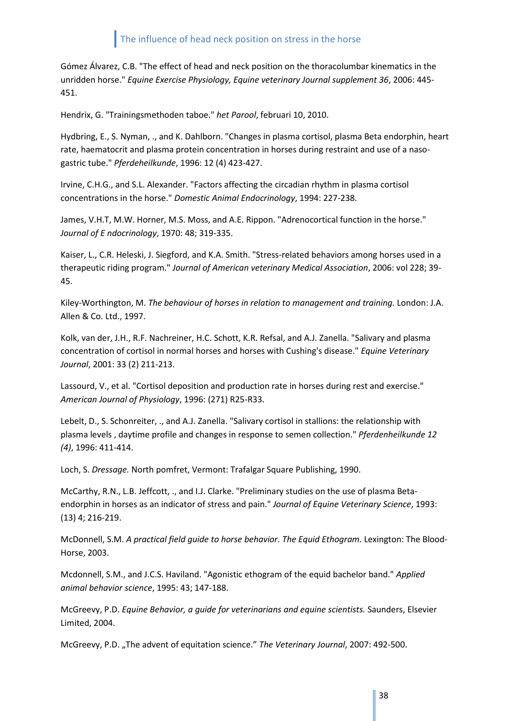Gómez Álvarez, C.B. "The effect of head and neck position on the thoracolumbar kinematics in the unridden horse." *Equine Exercise Physiology, Equine veterinary Journal supplement 36*, 2006: 445- 451.

Hendrix, G. "Trainingsmethoden taboe." *het Parool*, februari 10, 2010.

Hydbring, E., S. Nyman, ., and K. Dahlborn. "Changes in plasma cortisol, plasma Beta endorphin, heart rate, haematocrit and plasma protein concentration in horses during restraint and use of a nasogastric tube." *Pferdeheilkunde*, 1996: 12 (4) 423-427.

Irvine, C.H.G., and S.L. Alexander. "Factors affecting the circadian rhythm in plasma cortisol concentrations in the horse." *Domestic Animal Endocrinology*, 1994: 227-238.

James, V.H.T, M.W. Horner, M.S. Moss, and A.E. Rippon. "Adrenocortical function in the horse." *Journal of E ndocrinology*, 1970: 48; 319-335.

Kaiser, L., C.R. Heleski, J. Siegford, and K.A. Smith. "Stress-related behaviors among horses used in a therapeutic riding program." *Journal of American veterinary Medical Association*, 2006: vol 228; 39- 45.

Kiley-Worthington, M. *The behaviour of horses in relation to management and training.* London: J.A. Allen & Co. Ltd., 1997.

Kolk, van der, J.H., R.F. Nachreiner, H.C. Schott, K.R. Refsal, and A.J. Zanella. "Salivary and plasma concentration of cortisol in normal horses and horses with Cushing's disease." *Equine Veterinary Journal*, 2001: 33 (2) 211-213.

Lassourd, V., et al. "Cortisol deposition and production rate in horses during rest and exercise." *American Journal of Physiology*, 1996: (271) R25-R33.

Lebelt, D., S. Schonreiter, ., and A.J. Zanella. "Salivary cortisol in stallions: the relationship with plasma levels , daytime profile and changes in response to semen collection." *Pferdenheilkunde 12 (4)*, 1996: 411-414.

Loch, S. *Dressage.* North pomfret, Vermont: Trafalgar Square Publishing, 1990.

McCarthy, R.N., L.B. Jeffcott, ., and I.J. Clarke. "Preliminary studies on the use of plasma Betaendorphin in horses as an indicator of stress and pain." *Journal of Equine Veterinary Science*, 1993: (13) 4; 216-219.

McDonnell, S.M. *A practical field guide to horse behavior. The Equid Ethogram.* Lexington: The Blood-Horse, 2003.

Mcdonnell, S.M., and J.C.S. Haviland. "Agonistic ethogram of the equid bachelor band." *Applied animal behavior science*, 1995: 43; 147-188.

McGreevy, P.D. *Equine Behavior, a guide for veterinarians and equine scientists.* Saunders, Elsevier Limited, 2004.

McGreevy, P.D. "The advent of equitation science." *The Veterinary Journal*, 2007: 492-500.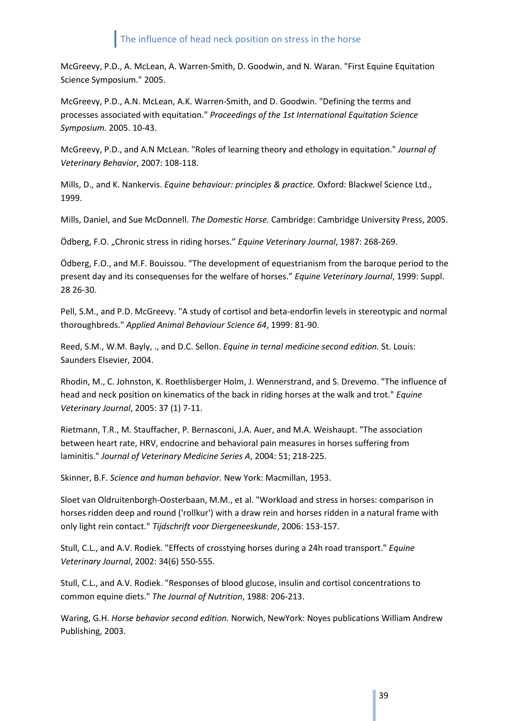McGreevy, P.D., A. McLean, A. Warren-Smith, D. Goodwin, and N. Waran. "First Equine Equitation Science Symposium." 2005.

McGreevy, P.D., A.N. McLean, A.K. Warren-Smith, and D. Goodwin. "Defining the terms and processes associated with equitation." *Proceedings of the 1st International Equitation Science Symposium.* 2005. 10-43.

McGreevy, P.D., and A.N McLean. "Roles of learning theory and ethology in equitation." *Journal of Veterinary Behavior*, 2007: 108-118.

Mills, D., and K. Nankervis. *Equine behaviour: principles & practice.* Oxford: Blackwel Science Ltd., 1999.

Mills, Daniel, and Sue McDonnell. *The Domestic Horse.* Cambridge: Cambridge University Press, 2005.

Ödberg, F.O. "Chronic stress in riding horses." *Equine Veterinary Journal*, 1987: 268-269.

Ödberg, F.O., and M.F. Bouissou. "The development of equestrianism from the baroque period to the present day and its consequenses for the welfare of horses." *Equine Veterinary Journal*, 1999: Suppl. 28 26-30.

Pell, S.M., and P.D. McGreevy. "A study of cortisol and beta-endorfin levels in stereotypic and normal thoroughbreds." *Applied Animal Behaviour Science 64*, 1999: 81-90.

Reed, S.M., W.M. Bayly, ., and D.C. Sellon. *Equine in ternal medicine second edition.* St. Louis: Saunders Elsevier, 2004.

Rhodin, M., C. Johnston, K. Roethlisberger Holm, J. Wennerstrand, and S. Drevemo. "The influence of head and neck position on kinematics of the back in riding horses at the walk and trot." *Equine Veterinary Journal*, 2005: 37 (1) 7-11.

Rietmann, T.R., M. Stauffacher, P. Bernasconi, J.A. Auer, and M.A. Weishaupt. "The association between heart rate, HRV, endocrine and behavioral pain measures in horses suffering from laminitis." *Journal of Veterinary Medicine Series A*, 2004: 51; 218-225.

Skinner, B.F. *Science and human behavior.* New York: Macmillan, 1953.

Sloet van Oldruitenborgh-Oosterbaan, M.M., et al. "Workload and stress in horses: comparison in horses ridden deep and round ('rollkur') with a draw rein and horses ridden in a natural frame with only light rein contact." *Tijdschrift voor Diergeneeskunde*, 2006: 153-157.

Stull, C.L., and A.V. Rodiek. "Effects of crosstying horses during a 24h road transport." *Equine Veterinary Journal*, 2002: 34(6) 550-555.

Stull, C.L., and A.V. Rodiek. "Responses of blood glucose, insulin and cortisol concentrations to common equine diets." *The Journal of Nutrition*, 1988: 206-213.

Waring, G.H. *Horse behavior second edition.* Norwich, NewYork: Noyes publications William Andrew Publishing, 2003.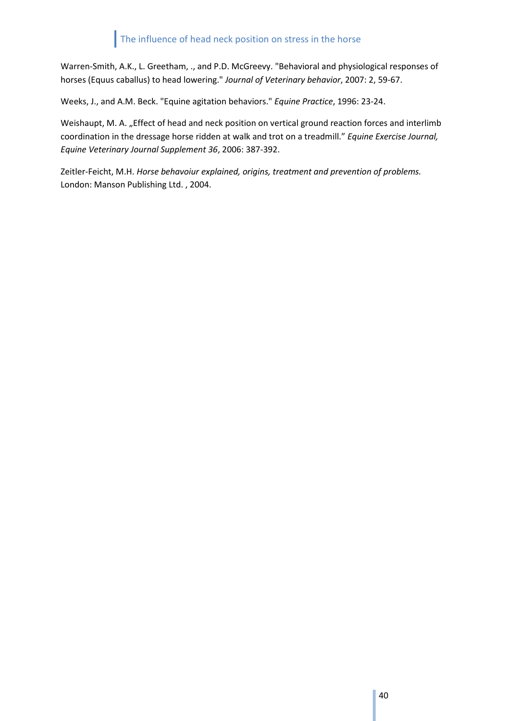Warren-Smith, A.K., L. Greetham, ., and P.D. McGreevy. "Behavioral and physiological responses of horses (Equus caballus) to head lowering." *Journal of Veterinary behavior*, 2007: 2, 59-67.

Weeks, J., and A.M. Beck. "Equine agitation behaviors." *Equine Practice*, 1996: 23-24.

Weishaupt, M. A. "Effect of head and neck position on vertical ground reaction forces and interlimb coordination in the dressage horse ridden at walk and trot on a treadmill." *Equine Exercise Journal, Equine Veterinary Journal Supplement 36*, 2006: 387-392.

Zeitler-Feicht, M.H. *Horse behavoiur explained, origins, treatment and prevention of problems.* London: Manson Publishing Ltd. , 2004.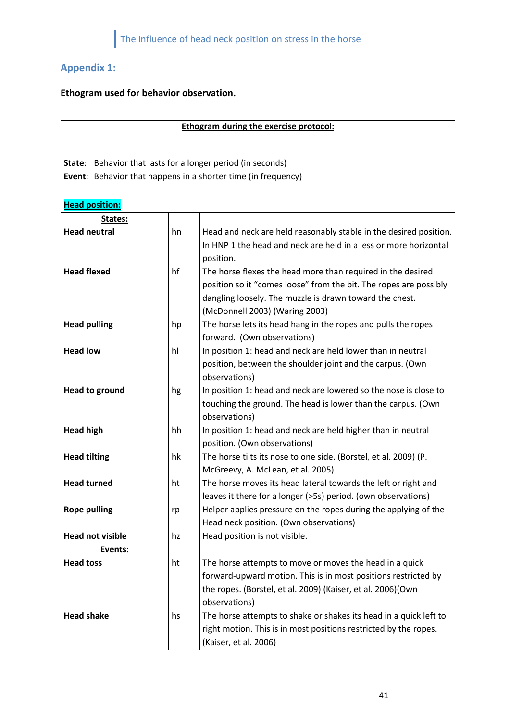## <span id="page-40-0"></span>**Appendix 1:**

## **Ethogram used for behavior observation.**

| <b>Ethogram during the exercise protocol:</b>               |    |                                                                                                     |  |  |  |
|-------------------------------------------------------------|----|-----------------------------------------------------------------------------------------------------|--|--|--|
|                                                             |    |                                                                                                     |  |  |  |
| State: Behavior that lasts for a longer period (in seconds) |    |                                                                                                     |  |  |  |
|                                                             |    | Event: Behavior that happens in a shorter time (in frequency)                                       |  |  |  |
|                                                             |    |                                                                                                     |  |  |  |
| <b>Head position:</b>                                       |    |                                                                                                     |  |  |  |
| States:                                                     |    |                                                                                                     |  |  |  |
| <b>Head neutral</b>                                         | hn | Head and neck are held reasonably stable in the desired position.                                   |  |  |  |
|                                                             |    | In HNP 1 the head and neck are held in a less or more horizontal                                    |  |  |  |
|                                                             |    | position.                                                                                           |  |  |  |
| <b>Head flexed</b>                                          | hf | The horse flexes the head more than required in the desired                                         |  |  |  |
|                                                             |    | position so it "comes loose" from the bit. The ropes are possibly                                   |  |  |  |
|                                                             |    | dangling loosely. The muzzle is drawn toward the chest.                                             |  |  |  |
|                                                             |    | (McDonnell 2003) (Waring 2003)                                                                      |  |  |  |
| <b>Head pulling</b>                                         | hp | The horse lets its head hang in the ropes and pulls the ropes                                       |  |  |  |
|                                                             |    | forward. (Own observations)                                                                         |  |  |  |
| <b>Head low</b>                                             | hl | In position 1: head and neck are held lower than in neutral                                         |  |  |  |
|                                                             |    | position, between the shoulder joint and the carpus. (Own                                           |  |  |  |
|                                                             |    | observations)                                                                                       |  |  |  |
| <b>Head to ground</b>                                       | hg | In position 1: head and neck are lowered so the nose is close to                                    |  |  |  |
|                                                             |    | touching the ground. The head is lower than the carpus. (Own                                        |  |  |  |
|                                                             |    | observations)                                                                                       |  |  |  |
| <b>Head high</b>                                            | hh | In position 1: head and neck are held higher than in neutral                                        |  |  |  |
|                                                             |    | position. (Own observations)                                                                        |  |  |  |
| <b>Head tilting</b>                                         | hk | The horse tilts its nose to one side. (Borstel, et al. 2009) (P.                                    |  |  |  |
| <b>Head turned</b>                                          | ht | McGreevy, A. McLean, et al. 2005)<br>The horse moves its head lateral towards the left or right and |  |  |  |
|                                                             |    | leaves it there for a longer (>5s) period. (own observations)                                       |  |  |  |
| <b>Rope pulling</b>                                         | rp | Helper applies pressure on the ropes during the applying of the                                     |  |  |  |
|                                                             |    | Head neck position. (Own observations)                                                              |  |  |  |
| <b>Head not visible</b>                                     | hz | Head position is not visible.                                                                       |  |  |  |
| Events:                                                     |    |                                                                                                     |  |  |  |
| <b>Head toss</b>                                            | ht | The horse attempts to move or moves the head in a quick                                             |  |  |  |
|                                                             |    | forward-upward motion. This is in most positions restricted by                                      |  |  |  |
|                                                             |    | the ropes. (Borstel, et al. 2009) (Kaiser, et al. 2006)(Own                                         |  |  |  |
|                                                             |    | observations)                                                                                       |  |  |  |
| <b>Head shake</b>                                           | hs | The horse attempts to shake or shakes its head in a quick left to                                   |  |  |  |
|                                                             |    | right motion. This is in most positions restricted by the ropes.                                    |  |  |  |
|                                                             |    | (Kaiser, et al. 2006)                                                                               |  |  |  |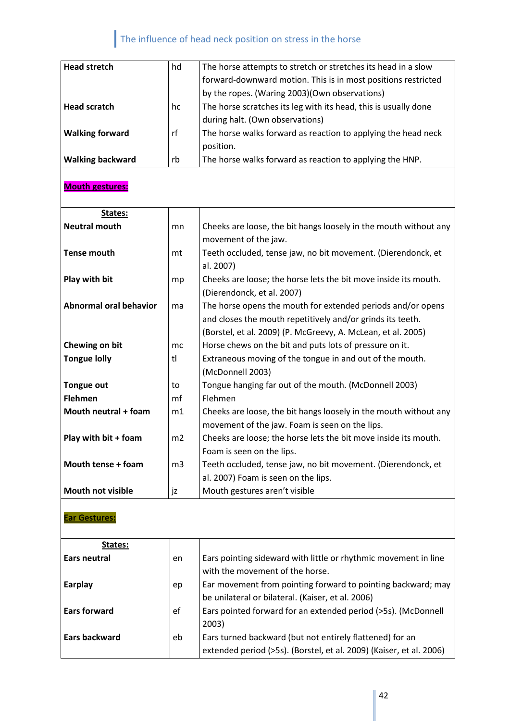| <b>Head stretch</b>     | hd | The horse attempts to stretch or stretches its head in a slow   |
|-------------------------|----|-----------------------------------------------------------------|
|                         |    | forward-downward motion. This is in most positions restricted   |
|                         |    | by the ropes. (Waring 2003)(Own observations)                   |
| <b>Head scratch</b>     | hc | The horse scratches its leg with its head, this is usually done |
|                         |    | during halt. (Own observations)                                 |
| <b>Walking forward</b>  | rf | The horse walks forward as reaction to applying the head neck   |
|                         |    | position.                                                       |
| <b>Walking backward</b> | rb | The horse walks forward as reaction to applying the HNP.        |

## **Mouth gestures:**

| States:                       |                |                                                                  |
|-------------------------------|----------------|------------------------------------------------------------------|
| <b>Neutral mouth</b>          | mn             | Cheeks are loose, the bit hangs loosely in the mouth without any |
|                               |                | movement of the jaw.                                             |
| <b>Tense mouth</b>            | mt             | Teeth occluded, tense jaw, no bit movement. (Dierendonck, et     |
|                               |                | al. 2007)                                                        |
| Play with bit                 | mp             | Cheeks are loose; the horse lets the bit move inside its mouth.  |
|                               |                | (Dierendonck, et al. 2007)                                       |
| <b>Abnormal oral behavior</b> | ma             | The horse opens the mouth for extended periods and/or opens      |
|                               |                | and closes the mouth repetitively and/or grinds its teeth.       |
|                               |                | (Borstel, et al. 2009) (P. McGreevy, A. McLean, et al. 2005)     |
| Chewing on bit                | mc             | Horse chews on the bit and puts lots of pressure on it.          |
| <b>Tongue lolly</b>           | tl             | Extraneous moving of the tongue in and out of the mouth.         |
|                               |                | (McDonnell 2003)                                                 |
| <b>Tongue out</b>             | to             | Tongue hanging far out of the mouth. (McDonnell 2003)            |
| <b>Flehmen</b>                | mf             | Flehmen                                                          |
| Mouth neutral + foam          | m1             | Cheeks are loose, the bit hangs loosely in the mouth without any |
|                               |                | movement of the jaw. Foam is seen on the lips.                   |
| Play with bit + foam          | m <sub>2</sub> | Cheeks are loose; the horse lets the bit move inside its mouth.  |
|                               |                | Foam is seen on the lips.                                        |
| Mouth tense + foam            | m <sub>3</sub> | Teeth occluded, tense jaw, no bit movement. (Dierendonck, et     |
|                               |                | al. 2007) Foam is seen on the lips.                              |
| <b>Mouth not visible</b>      | jz             | Mouth gestures aren't visible                                    |

## **Ear Gestures:**

| States:             |    |                                                                                                                                 |
|---------------------|----|---------------------------------------------------------------------------------------------------------------------------------|
| Ears neutral        | en | Ears pointing sideward with little or rhythmic movement in line<br>with the movement of the horse.                              |
| Earplay             | ep | Ear movement from pointing forward to pointing backward; may<br>be unilateral or bilateral. (Kaiser, et al. 2006)               |
| <b>Ears forward</b> | ef | Ears pointed forward for an extended period (>5s). (McDonnell<br>2003)                                                          |
| Ears backward       | eb | Ears turned backward (but not entirely flattened) for an<br>extended period (>5s). (Borstel, et al. 2009) (Kaiser, et al. 2006) |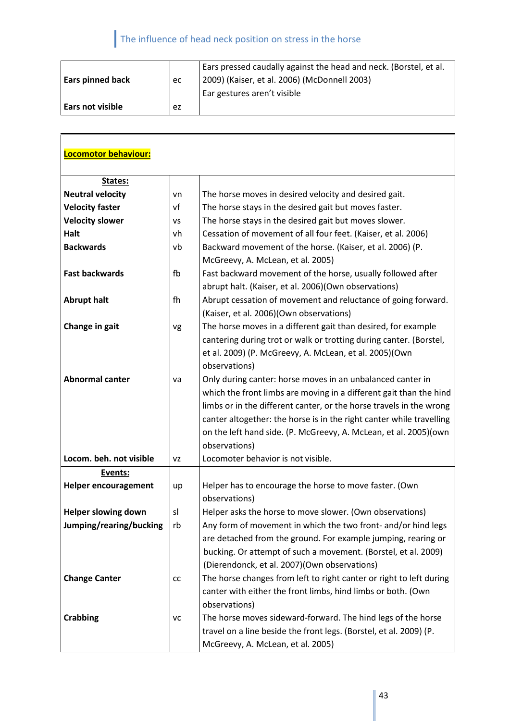F

| <b>Ears pinned back</b> | ec | Ears pressed caudally against the head and neck. (Borstel, et al.<br>  2009) (Kaiser, et al. 2006) (McDonnell 2003)<br>Ear gestures aren't visible |
|-------------------------|----|----------------------------------------------------------------------------------------------------------------------------------------------------|
| l Ears not visible      | ez |                                                                                                                                                    |

| Locomotor behaviour:        |    |                                                                      |
|-----------------------------|----|----------------------------------------------------------------------|
|                             |    |                                                                      |
| States:                     |    |                                                                      |
| <b>Neutral velocity</b>     | vn | The horse moves in desired velocity and desired gait.                |
| <b>Velocity faster</b>      | vf | The horse stays in the desired gait but moves faster.                |
| <b>Velocity slower</b>      | VS | The horse stays in the desired gait but moves slower.                |
| Halt                        | vh | Cessation of movement of all four feet. (Kaiser, et al. 2006)        |
| <b>Backwards</b>            | vb | Backward movement of the horse. (Kaiser, et al. 2006) (P.            |
|                             |    | McGreevy, A. McLean, et al. 2005)                                    |
| <b>Fast backwards</b>       | fb | Fast backward movement of the horse, usually followed after          |
|                             |    | abrupt halt. (Kaiser, et al. 2006)(Own observations)                 |
| <b>Abrupt halt</b>          | fh | Abrupt cessation of movement and reluctance of going forward.        |
|                             |    | (Kaiser, et al. 2006)(Own observations)                              |
| Change in gait              | vg | The horse moves in a different gait than desired, for example        |
|                             |    | cantering during trot or walk or trotting during canter. (Borstel,   |
|                             |    | et al. 2009) (P. McGreevy, A. McLean, et al. 2005)(Own               |
|                             |    | observations)                                                        |
| <b>Abnormal canter</b>      | va | Only during canter: horse moves in an unbalanced canter in           |
|                             |    | which the front limbs are moving in a different gait than the hind   |
|                             |    | limbs or in the different canter, or the horse travels in the wrong  |
|                             |    | canter altogether: the horse is in the right canter while travelling |
|                             |    | on the left hand side. (P. McGreevy, A. McLean, et al. 2005) (own    |
|                             |    | observations)                                                        |
| Locom. beh. not visible     | VZ | Locomoter behavior is not visible.                                   |
| Events:                     |    |                                                                      |
| <b>Helper encouragement</b> | up | Helper has to encourage the horse to move faster. (Own               |
|                             |    | observations)                                                        |
| <b>Helper slowing down</b>  | sl | Helper asks the horse to move slower. (Own observations)             |
| Jumping/rearing/bucking     | rb | Any form of movement in which the two front- and/or hind legs        |
|                             |    | are detached from the ground. For example jumping, rearing or        |
|                             |    | bucking. Or attempt of such a movement. (Borstel, et al. 2009)       |
|                             |    | (Dierendonck, et al. 2007)(Own observations)                         |
| <b>Change Canter</b>        | cc | The horse changes from left to right canter or right to left during  |
|                             |    | canter with either the front limbs, hind limbs or both. (Own         |
|                             |    | observations)                                                        |
| <b>Crabbing</b>             | VC | The horse moves sideward-forward. The hind legs of the horse         |
|                             |    | travel on a line beside the front legs. (Borstel, et al. 2009) (P.   |
|                             |    | McGreevy, A. McLean, et al. 2005)                                    |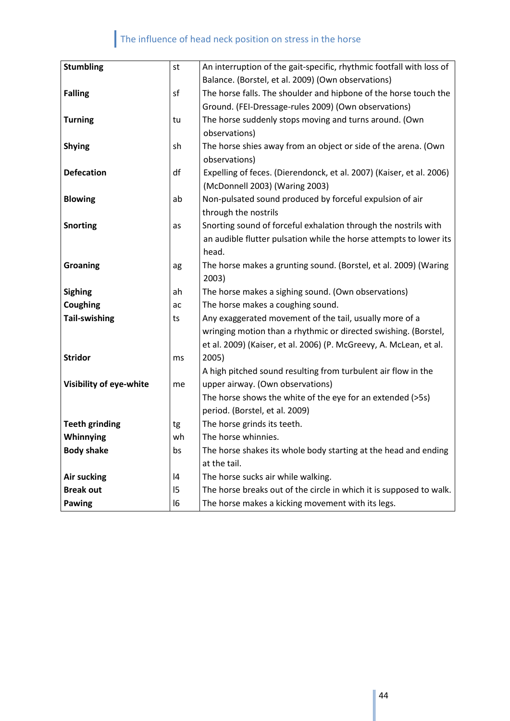| <b>Stumbling</b>        | st | An interruption of the gait-specific, rhythmic footfall with loss of |
|-------------------------|----|----------------------------------------------------------------------|
|                         |    | Balance. (Borstel, et al. 2009) (Own observations)                   |
| <b>Falling</b>          | sf | The horse falls. The shoulder and hipbone of the horse touch the     |
|                         |    | Ground. (FEI-Dressage-rules 2009) (Own observations)                 |
| <b>Turning</b>          | tu | The horse suddenly stops moving and turns around. (Own               |
|                         |    | observations)                                                        |
| <b>Shying</b>           | sh | The horse shies away from an object or side of the arena. (Own       |
|                         |    | observations)                                                        |
| <b>Defecation</b>       | df | Expelling of feces. (Dierendonck, et al. 2007) (Kaiser, et al. 2006) |
|                         |    | (McDonnell 2003) (Waring 2003)                                       |
| <b>Blowing</b>          | ab | Non-pulsated sound produced by forceful expulsion of air             |
|                         |    | through the nostrils                                                 |
| <b>Snorting</b>         | as | Snorting sound of forceful exhalation through the nostrils with      |
|                         |    | an audible flutter pulsation while the horse attempts to lower its   |
|                         |    | head.                                                                |
| <b>Groaning</b>         | ag | The horse makes a grunting sound. (Borstel, et al. 2009) (Waring     |
|                         |    | 2003)                                                                |
| <b>Sighing</b>          | ah | The horse makes a sighing sound. (Own observations)                  |
| Coughing                | ac | The horse makes a coughing sound.                                    |
| <b>Tail-swishing</b>    | ts | Any exaggerated movement of the tail, usually more of a              |
|                         |    | wringing motion than a rhythmic or directed swishing. (Borstel,      |
|                         |    | et al. 2009) (Kaiser, et al. 2006) (P. McGreevy, A. McLean, et al.   |
| <b>Stridor</b>          | ms | 2005)                                                                |
|                         |    | A high pitched sound resulting from turbulent air flow in the        |
| Visibility of eye-white | me | upper airway. (Own observations)                                     |
|                         |    | The horse shows the white of the eye for an extended (>5s)           |
|                         |    | period. (Borstel, et al. 2009)                                       |
| <b>Teeth grinding</b>   | tg | The horse grinds its teeth.                                          |
| Whinnying               | wh | The horse whinnies.                                                  |
| <b>Body shake</b>       | bs | The horse shakes its whole body starting at the head and ending      |
|                         |    | at the tail.                                                         |
| Air sucking             | 14 | The horse sucks air while walking.                                   |
| <b>Break out</b>        | 15 | The horse breaks out of the circle in which it is supposed to walk.  |
| Pawing                  | 16 | The horse makes a kicking movement with its legs.                    |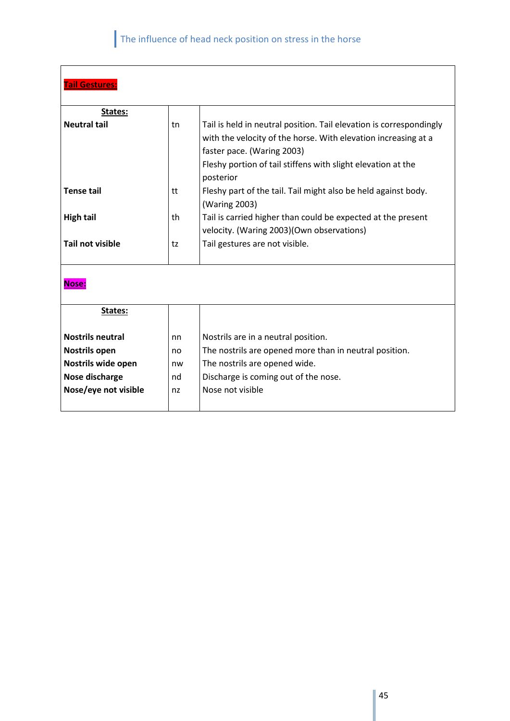| <b>Tail Gestures:</b>   |    |                                                                                              |  |  |
|-------------------------|----|----------------------------------------------------------------------------------------------|--|--|
|                         |    |                                                                                              |  |  |
| States:                 |    |                                                                                              |  |  |
| <b>Neutral tail</b>     | tn | Tail is held in neutral position. Tail elevation is correspondingly                          |  |  |
|                         |    | with the velocity of the horse. With elevation increasing at a<br>faster pace. (Waring 2003) |  |  |
|                         |    | Fleshy portion of tail stiffens with slight elevation at the                                 |  |  |
|                         |    | posterior                                                                                    |  |  |
| <b>Tense tail</b>       | tt | Fleshy part of the tail. Tail might also be held against body.                               |  |  |
|                         |    | (Waring 2003)                                                                                |  |  |
| <b>High tail</b>        | th | Tail is carried higher than could be expected at the present                                 |  |  |
|                         |    | velocity. (Waring 2003) (Own observations)                                                   |  |  |
| <b>Tail not visible</b> | tz | Tail gestures are not visible.                                                               |  |  |
|                         |    |                                                                                              |  |  |
| Nose:                   |    |                                                                                              |  |  |
|                         |    |                                                                                              |  |  |
| States:                 |    |                                                                                              |  |  |
|                         |    |                                                                                              |  |  |
| <b>Nostrils neutral</b> | nn | Nostrils are in a neutral position.                                                          |  |  |
| <b>Nostrils open</b>    | no | The nostrils are opened more than in neutral position.                                       |  |  |
| Nostrils wide open      | nw | The nostrils are opened wide.                                                                |  |  |
| Nose discharge          | nd | Discharge is coming out of the nose.                                                         |  |  |
| Nose/eye not visible    | nz | Nose not visible                                                                             |  |  |